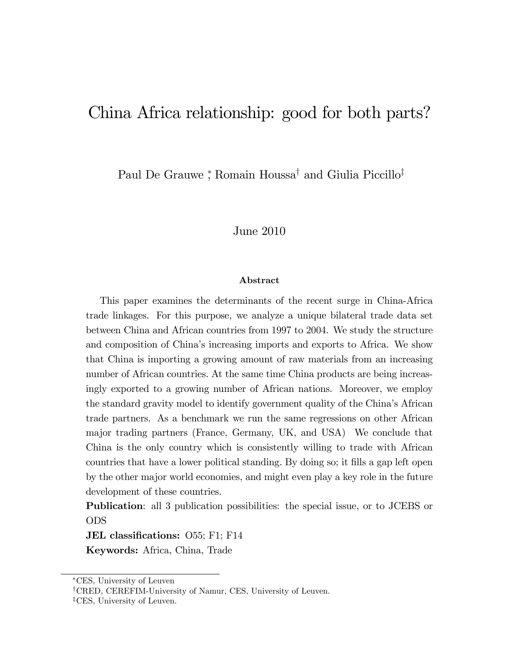# China Africa relationship: good for both parts?

Paul De Grauwe <sup>\*</sup>, Romain Houssa<sup>†</sup> and Giulia Piccillo<sup>‡</sup>

### June 2010

#### Abstract

This paper examines the determinants of the recent surge in China-Africa trade linkages. For this purpose, we analyze a unique bilateral trade data set between China and African countries from 1997 to 2004. We study the structure and composition of China's increasing imports and exports to Africa. We show that China is importing a growing amount of raw materials from an increasing number of African countries. At the same time China products are being increasingly exported to a growing number of African nations. Moreover, we employ the standard gravity model to identify government quality of the Chinaís African trade partners. As a benchmark we run the same regressions on other African major trading partners (France, Germany, UK, and USA) We conclude that China is the only country which is consistently willing to trade with African countries that have a lower political standing. By doing so; it Ölls a gap left open by the other major world economies, and might even play a key role in the future development of these countries.

Publication: all 3 publication possibilities: the special issue, or to JCEBS or ODS

JEL classifications: O55; F1; F14 Keywords: Africa, China, Trade

CES, University of Leuven

<sup>&</sup>lt;sup>†</sup>CRED, CEREFIM-University of Namur, CES, University of Leuven. <sup>‡</sup>CES, University of Leuven.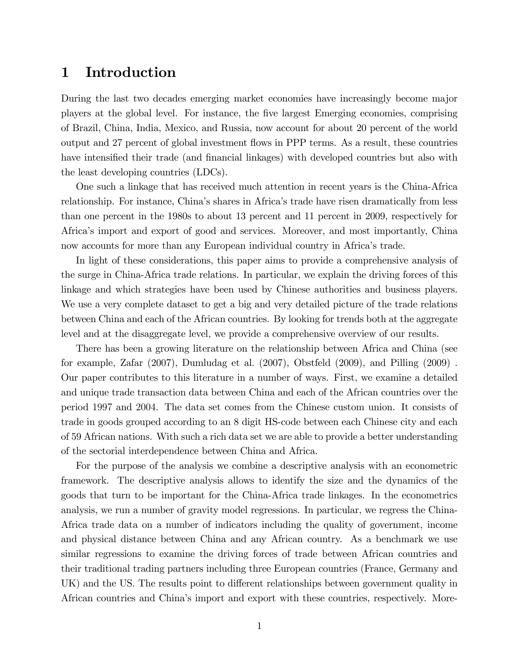## 1 Introduction

During the last two decades emerging market economies have increasingly become major players at the global level. For instance, the Öve largest Emerging economies, comprising of Brazil, China, India, Mexico, and Russia, now account for about 20 percent of the world output and 27 percent of global investment áows in PPP terms. As a result, these countries have intensified their trade (and financial linkages) with developed countries but also with the least developing countries (LDCs).

One such a linkage that has received much attention in recent years is the China-Africa relationship. For instance, China's shares in Africa's trade have risen dramatically from less than one percent in the 1980s to about 13 percent and 11 percent in 2009, respectively for Africaís import and export of good and services. Moreover, and most importantly, China now accounts for more than any European individual country in Africa's trade.

In light of these considerations, this paper aims to provide a comprehensive analysis of the surge in China-Africa trade relations. In particular, we explain the driving forces of this linkage and which strategies have been used by Chinese authorities and business players. We use a very complete dataset to get a big and very detailed picture of the trade relations between China and each of the African countries. By looking for trends both at the aggregate level and at the disaggregate level, we provide a comprehensive overview of our results.

There has been a growing literature on the relationship between Africa and China (see for example, Zafar  $(2007)$ , Dumludag et al.  $(2007)$ , Obstfeld  $(2009)$ , and Pilling  $(2009)$ . Our paper contributes to this literature in a number of ways. First, we examine a detailed and unique trade transaction data between China and each of the African countries over the period 1997 and 2004. The data set comes from the Chinese custom union. It consists of trade in goods grouped according to an 8 digit HS-code between each Chinese city and each of 59 African nations. With such a rich data set we are able to provide a better understanding of the sectorial interdependence between China and Africa.

For the purpose of the analysis we combine a descriptive analysis with an econometric framework. The descriptive analysis allows to identify the size and the dynamics of the goods that turn to be important for the China-Africa trade linkages. In the econometrics analysis, we run a number of gravity model regressions. In particular, we regress the China-Africa trade data on a number of indicators including the quality of government, income and physical distance between China and any African country. As a benchmark we use similar regressions to examine the driving forces of trade between African countries and their traditional trading partners including three European countries (France, Germany and UK) and the US. The results point to different relationships between government quality in African countries and Chinaís import and export with these countries, respectively. More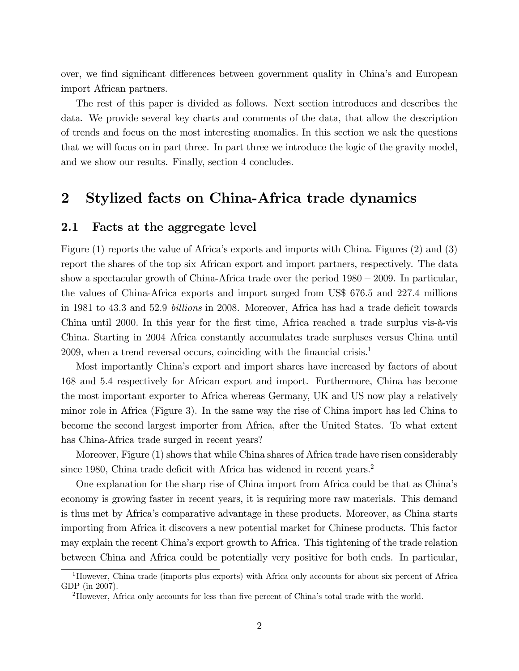over, we find significant differences between government quality in China's and European import African partners.

The rest of this paper is divided as follows. Next section introduces and describes the data. We provide several key charts and comments of the data, that allow the description of trends and focus on the most interesting anomalies. In this section we ask the questions that we will focus on in part three. In part three we introduce the logic of the gravity model, and we show our results. Finally, section 4 concludes.

## 2 Stylized facts on China-Africa trade dynamics

### 2.1 Facts at the aggregate level

Figure (1) reports the value of Africa's exports and imports with China. Figures (2) and (3) report the shares of the top six African export and import partners, respectively. The data show a spectacular growth of China-Africa trade over the period  $1980 - 2009$ . In particular, the values of China-Africa exports and import surged from US\$ 676:5 and 227:4 millions in 1981 to 43.3 and 52.9 billions in 2008. Moreover, Africa has had a trade deficit towards China until 2000. In this year for the first time, Africa reached a trade surplus vis- $\dot{a}$ -vis China. Starting in 2004 Africa constantly accumulates trade surpluses versus China until 2009, when a trend reversal occurs, coinciding with the financial crisis.<sup>1</sup>

Most importantly Chinaís export and import shares have increased by factors of about 168 and 5:4 respectively for African export and import. Furthermore, China has become the most important exporter to Africa whereas Germany, UK and US now play a relatively minor role in Africa (Figure 3). In the same way the rise of China import has led China to become the second largest importer from Africa, after the United States. To what extent has China-Africa trade surged in recent years?

Moreover, Figure (1) shows that while China shares of Africa trade have risen considerably since 1980, China trade deficit with Africa has widened in recent years.<sup>2</sup>

One explanation for the sharp rise of China import from Africa could be that as Chinaís economy is growing faster in recent years, it is requiring more raw materials. This demand is thus met by Africaís comparative advantage in these products. Moreover, as China starts importing from Africa it discovers a new potential market for Chinese products. This factor may explain the recent Chinaís export growth to Africa. This tightening of the trade relation between China and Africa could be potentially very positive for both ends. In particular,

<sup>1</sup>However, China trade (imports plus exports) with Africa only accounts for about six percent of Africa GDP (in 2007).

<sup>&</sup>lt;sup>2</sup>However, Africa only accounts for less than five percent of China's total trade with the world.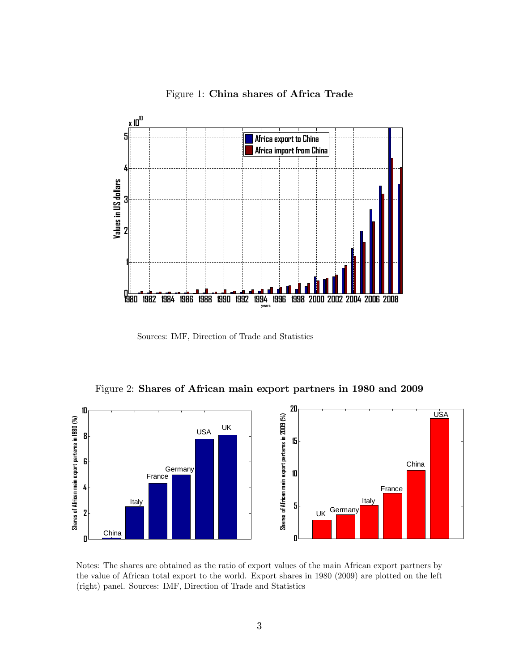

Figure 1: China shares of Africa Trade

Sources: IMF, Direction of Trade and Statistics

Figure 2: Shares of African main export partners in 1980 and 2009



Notes: The shares are obtained as the ratio of export values of the main African export partners by the value of African total export to the world. Export shares in 1980 (2009) are plotted on the left (right) panel. Sources: IMF, Direction of Trade and Statistics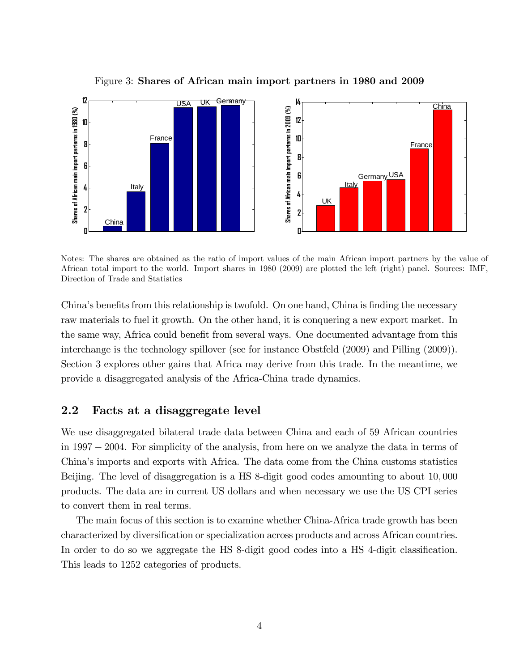

Figure 3: Shares of African main import partners in 1980 and 2009

Notes: The shares are obtained as the ratio of import values of the main African import partners by the value of African total import to the world. Import shares in 1980 (2009) are plotted the left (right) panel. Sources: IMF, Direction of Trade and Statistics

China's benefits from this relationship is twofold. On one hand, China is finding the necessary raw materials to fuel it growth. On the other hand, it is conquering a new export market. In the same way, Africa could benefit from several ways. One documented advantage from this interchange is the technology spillover (see for instance Obstfeld (2009) and Pilling (2009)). Section 3 explores other gains that Africa may derive from this trade. In the meantime, we provide a disaggregated analysis of the Africa-China trade dynamics.

### 2.2 Facts at a disaggregate level

We use disaggregated bilateral trade data between China and each of 59 African countries in 1997 2004. For simplicity of the analysis, from here on we analyze the data in terms of Chinaís imports and exports with Africa. The data come from the China customs statistics Beijing. The level of disaggregation is a HS 8-digit good codes amounting to about 10; 000 products. The data are in current US dollars and when necessary we use the US CPI series to convert them in real terms.

The main focus of this section is to examine whether China-Africa trade growth has been characterized by diversification or specialization across products and across African countries. In order to do so we aggregate the HS 8-digit good codes into a HS 4-digit classification. This leads to 1252 categories of products.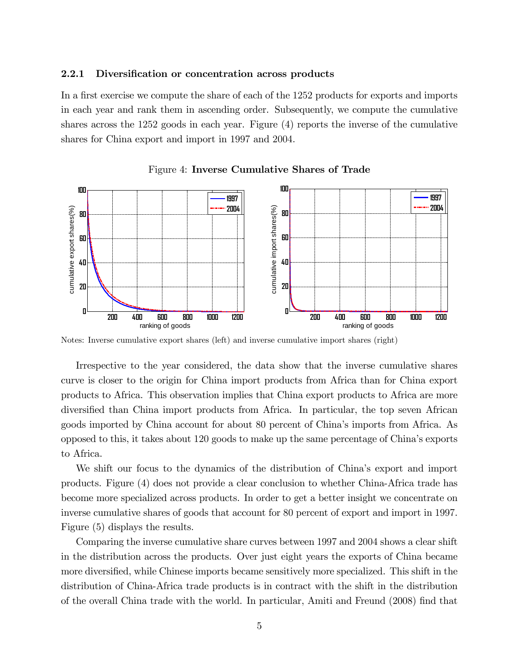#### 2.2.1 Diversification or concentration across products

In a first exercise we compute the share of each of the  $1252$  products for exports and imports in each year and rank them in ascending order. Subsequently, we compute the cumulative shares across the 1252 goods in each year. Figure (4) reports the inverse of the cumulative shares for China export and import in 1997 and 2004.



Figure 4: Inverse Cumulative Shares of Trade

Notes: Inverse cumulative export shares (left) and inverse cumulative import shares (right)

Irrespective to the year considered, the data show that the inverse cumulative shares curve is closer to the origin for China import products from Africa than for China export products to Africa. This observation implies that China export products to Africa are more diversified than China import products from Africa. In particular, the top seven African goods imported by China account for about 80 percent of Chinaís imports from Africa. As opposed to this, it takes about 120 goods to make up the same percentage of Chinaís exports to Africa.

We shift our focus to the dynamics of the distribution of China's export and import products. Figure (4) does not provide a clear conclusion to whether China-Africa trade has become more specialized across products. In order to get a better insight we concentrate on inverse cumulative shares of goods that account for 80 percent of export and import in 1997. Figure (5) displays the results.

Comparing the inverse cumulative share curves between 1997 and 2004 shows a clear shift in the distribution across the products. Over just eight years the exports of China became more diversified, while Chinese imports became sensitively more specialized. This shift in the distribution of China-Africa trade products is in contract with the shift in the distribution of the overall China trade with the world. In particular, Amiti and Freund (2008) find that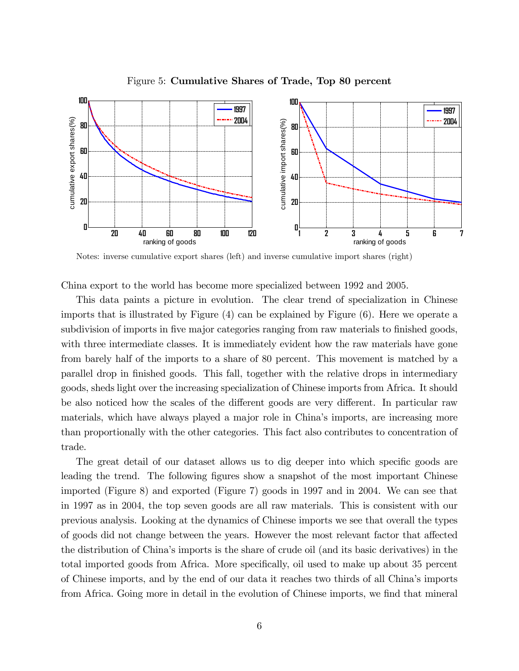

Figure 5: Cumulative Shares of Trade, Top 80 percent

Notes: inverse cumulative export shares (left) and inverse cumulative import shares (right)

China export to the world has become more specialized between 1992 and 2005.

This data paints a picture in evolution. The clear trend of specialization in Chinese imports that is illustrated by Figure (4) can be explained by Figure (6). Here we operate a subdivision of imports in five major categories ranging from raw materials to finished goods, with three intermediate classes. It is immediately evident how the raw materials have gone from barely half of the imports to a share of 80 percent. This movement is matched by a parallel drop in Önished goods. This fall, together with the relative drops in intermediary goods, sheds light over the increasing specialization of Chinese imports from Africa. It should be also noticed how the scales of the different goods are very different. In particular raw materials, which have always played a major role in China's imports, are increasing more than proportionally with the other categories. This fact also contributes to concentration of trade.

The great detail of our dataset allows us to dig deeper into which specific goods are leading the trend. The following figures show a snapshot of the most important Chinese imported (Figure 8) and exported (Figure 7) goods in 1997 and in 2004. We can see that in 1997 as in 2004, the top seven goods are all raw materials. This is consistent with our previous analysis. Looking at the dynamics of Chinese imports we see that overall the types of goods did not change between the years. However the most relevant factor that affected the distribution of Chinaís imports is the share of crude oil (and its basic derivatives) in the total imported goods from Africa. More specifically, oil used to make up about 35 percent of Chinese imports, and by the end of our data it reaches two thirds of all Chinaís imports from Africa. Going more in detail in the evolution of Chinese imports, we find that mineral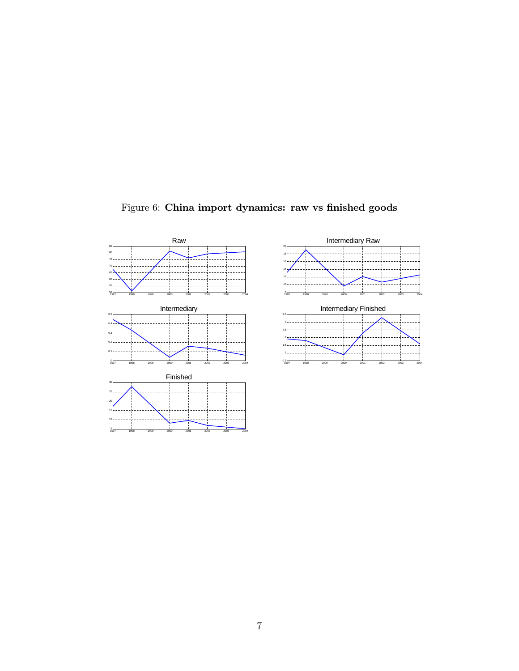



Figure 6: China import dynamics: raw vs finished goods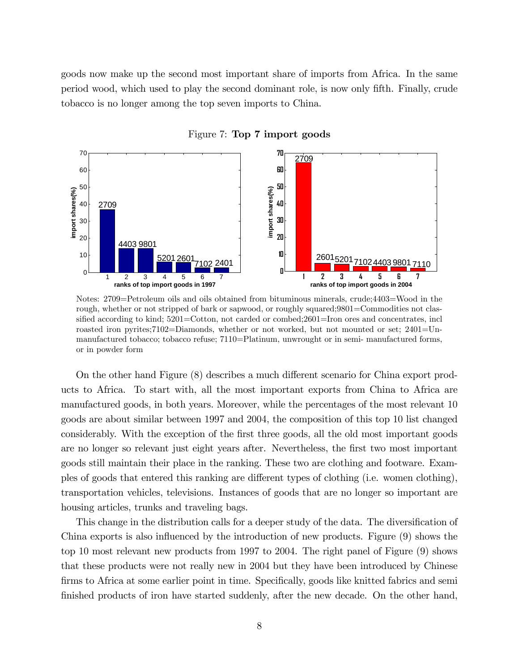goods now make up the second most important share of imports from Africa. In the same period wood, which used to play the second dominant role, is now only Öfth. Finally, crude tobacco is no longer among the top seven imports to China.



Figure 7: Top 7 import goods

Notes: 2709=Petroleum oils and oils obtained from bituminous minerals, crude;4403=Wood in the rough, whether or not stripped of bark or sapwood, or roughly squared;9801=Commodities not classified according to kind; 5201=Cotton, not carded or combed;2601=Iron ores and concentrates, incl roasted iron pyrites;7102=Diamonds, whether or not worked, but not mounted or set; 2401=Unmanufactured tobacco; tobacco refuse; 7110=Platinum, unwrought or in semi- manufactured forms, or in powder form

On the other hand Figure (8) describes a much different scenario for China export products to Africa. To start with, all the most important exports from China to Africa are manufactured goods, in both years. Moreover, while the percentages of the most relevant 10 goods are about similar between 1997 and 2004, the composition of this top 10 list changed considerably. With the exception of the first three goods, all the old most important goods are no longer so relevant just eight years after. Nevertheless, the first two most important goods still maintain their place in the ranking. These two are clothing and footware. Examples of goods that entered this ranking are different types of clothing (i.e. women clothing), transportation vehicles, televisions. Instances of goods that are no longer so important are housing articles, trunks and traveling bags.

This change in the distribution calls for a deeper study of the data. The diversification of China exports is also influenced by the introduction of new products. Figure (9) shows the top 10 most relevant new products from 1997 to 2004. The right panel of Figure (9) shows that these products were not really new in 2004 but they have been introduced by Chinese firms to Africa at some earlier point in time. Specifically, goods like knitted fabrics and semifinished products of iron have started suddenly, after the new decade. On the other hand,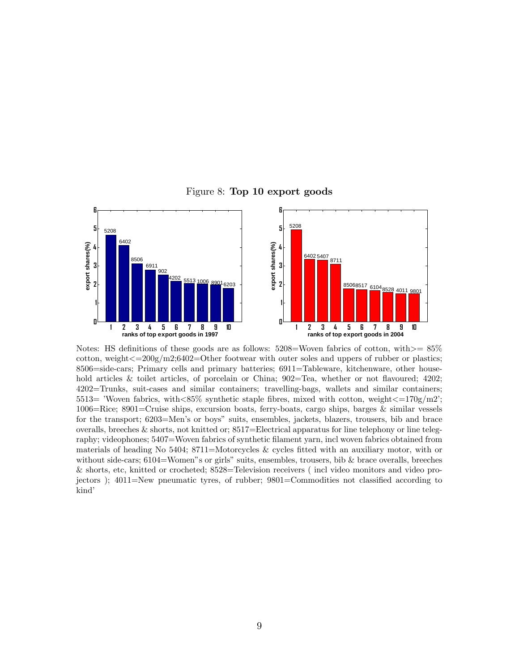



Notes: HS definitions of these goods are as follows:  $5208=$ Woven fabrics of cotton, with $>$ =  $85\%$ cotton, weight $\epsilon=200g/m2;6402=O$  ther footwear with outer soles and uppers of rubber or plastics; 8506=side-cars; Primary cells and primary batteries; 6911=Tableware, kitchenware, other household articles & toilet articles, of porcelain or China;  $902=$ Tea, whether or not flavoured;  $4202$ ; 4202=Trunks, suit-cases and similar containers; travelling-bags, wallets and similar containers; 5513= 'Woven fabrics, with $<85\%$  synthetic staple fibres, mixed with cotton, weight $<=170$ g/m2; 1006=Rice; 8901=Cruise ships, excursion boats, ferry-boats, cargo ships, barges & similar vessels for the transport; 6203=Men's or boys" suits, ensembles, jackets, blazers, trousers, bib and brace overalls, breeches & shorts, not knitted or; 8517=Electrical apparatus for line telephony or line telegraphy; videophones; 5407=Woven fabrics of synthetic filament yarn, incl woven fabrics obtained from materials of heading No 5404; 8711=Motorcycles & cycles fitted with an auxiliary motor, with or without side-cars;  $6104$ =Women<sup>"</sup>s or girls" suits, ensembles, trousers, bib & brace overalls, breeches & shorts, etc, knitted or crocheted; 8528=Television receivers ( incl video monitors and video projectors);  $4011 =$ New pneumatic tyres, of rubber;  $9801 =$ Commodities not classified according to kind<sup>'</sup>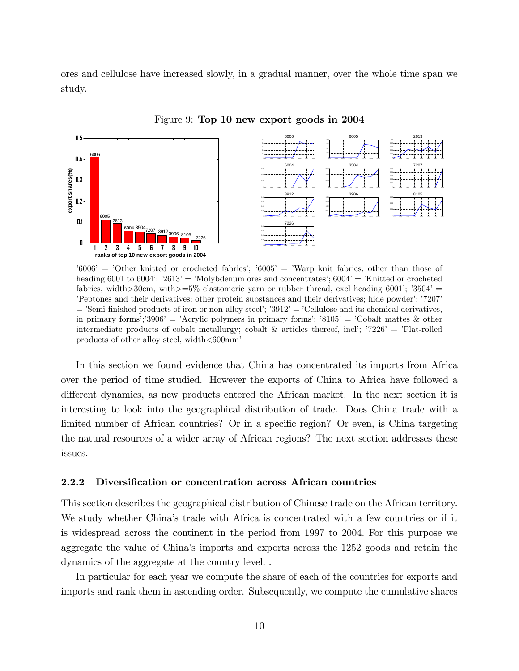ores and cellulose have increased slowly, in a gradual manner, over the whole time span we study.



Figure 9: Top 10 new export goods in 2004

 $6006'$  =  $'0$ ther knitted or crocheted fabrics';  $6005'$  = 'Warp knit fabrics, other than those of heading 6001 to 6004'; '2613' = 'Molybdenum ores and concentrates';'6004' = 'Knitted or crocheted fabrics, width $>30$ cm, with $>=5\%$  elastomeric yarn or rubber thread, excl heading 6001′;  $3504'$  = íPeptones and their derivatives; other protein substances and their derivatives; hide powderí; í7207í  $=$  'Semi-finished products of iron or non-alloy steel'; '3912' = 'Cellulose and its chemical derivatives, in primary forms'; 3906′ = 'Acrylic polymers in primary forms'; '8105′ = 'Cobalt mattes & other intermediate products of cobalt metallurgy; cobalt & articles thereof, incl<sup>†</sup>;  $7226'$  =  $'F$ lat-rolled products of other alloy steel, width<600mmí

In this section we found evidence that China has concentrated its imports from Africa over the period of time studied. However the exports of China to Africa have followed a different dynamics, as new products entered the African market. In the next section it is interesting to look into the geographical distribution of trade. Does China trade with a limited number of African countries? Or in a specific region? Or even, is China targeting the natural resources of a wider array of African regions? The next section addresses these issues.

#### 2.2.2 Diversification or concentration across African countries

This section describes the geographical distribution of Chinese trade on the African territory. We study whether China's trade with Africa is concentrated with a few countries or if it is widespread across the continent in the period from 1997 to 2004. For this purpose we aggregate the value of China's imports and exports across the 1252 goods and retain the dynamics of the aggregate at the country level. .

In particular for each year we compute the share of each of the countries for exports and imports and rank them in ascending order. Subsequently, we compute the cumulative shares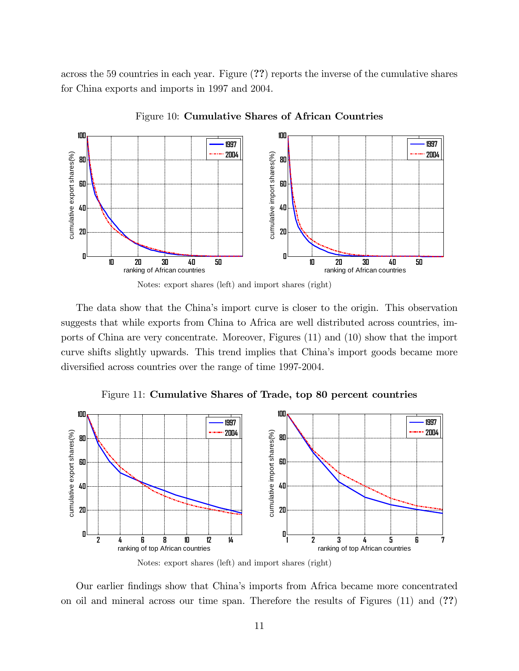across the 59 countries in each year. Figure (??) reports the inverse of the cumulative shares for China exports and imports in 1997 and 2004.



Figure 10: Cumulative Shares of African Countries



The data show that the China's import curve is closer to the origin. This observation suggests that while exports from China to Africa are well distributed across countries, imports of China are very concentrate. Moreover, Figures (11) and (10) show that the import curve shifts slightly upwards. This trend implies that Chinaís import goods became more diversified across countries over the range of time 1997-2004.

Figure 11: Cumulative Shares of Trade, top 80 percent countries



Notes: export shares (left) and import shares (right)

Our earlier Öndings show that Chinaís imports from Africa became more concentrated on oil and mineral across our time span. Therefore the results of Figures (11) and (??)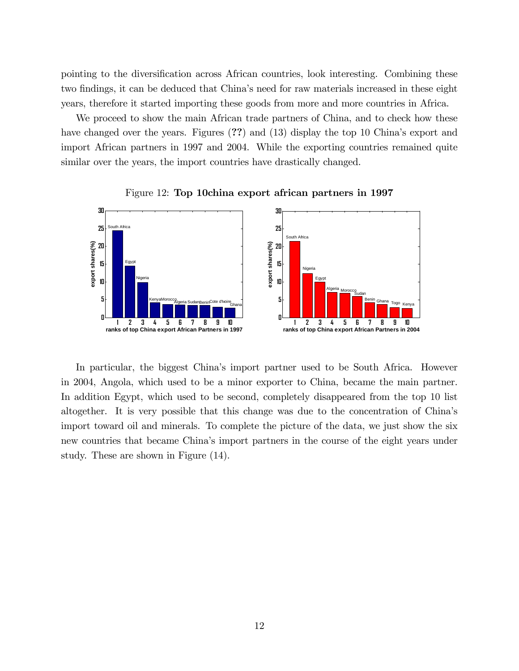pointing to the diversification across African countries, look interesting. Combining these two findings, it can be deduced that China's need for raw materials increased in these eight years, therefore it started importing these goods from more and more countries in Africa.

We proceed to show the main African trade partners of China, and to check how these have changed over the years. Figures (??) and (13) display the top 10 China's export and import African partners in 1997 and 2004. While the exporting countries remained quite similar over the years, the import countries have drastically changed.



Figure 12: Top 10china export african partners in 1997

In particular, the biggest Chinaís import partner used to be South Africa. However in 2004, Angola, which used to be a minor exporter to China, became the main partner. In addition Egypt, which used to be second, completely disappeared from the top 10 list altogether. It is very possible that this change was due to the concentration of Chinaís import toward oil and minerals. To complete the picture of the data, we just show the six new countries that became Chinaís import partners in the course of the eight years under study. These are shown in Figure (14).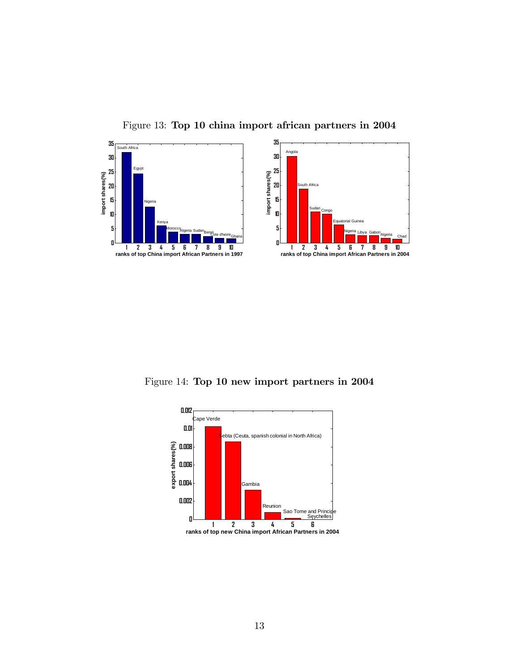

Figure 13: Top 10 china import african partners in 2004

Figure 14: Top 10 new import partners in 2004

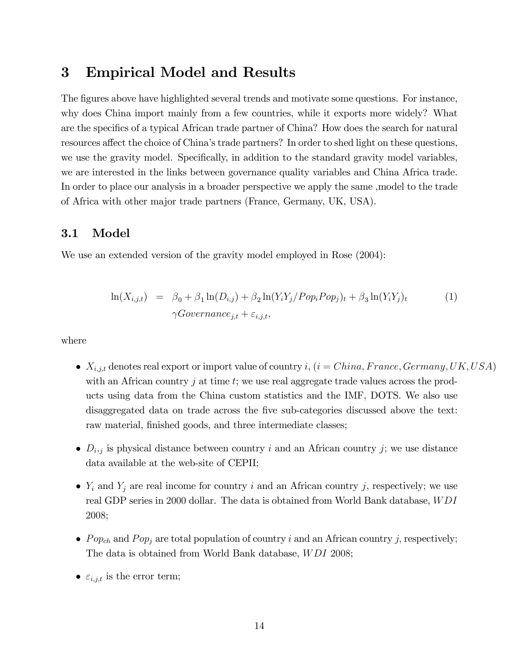## 3 Empirical Model and Results

The figures above have highlighted several trends and motivate some questions. For instance, why does China import mainly from a few countries, while it exports more widely? What are the specifics of a typical African trade partner of China? How does the search for natural resources affect the choice of China's trade partners? In order to shed light on these questions, we use the gravity model. Specifically, in addition to the standard gravity model variables, we are interested in the links between governance quality variables and China Africa trade. In order to place our analysis in a broader perspective we apply the same ,model to the trade of Africa with other major trade partners (France, Germany, UK, USA).

### 3.1 Model

We use an extended version of the gravity model employed in Rose (2004):

$$
\ln(X_{i,j,t}) = \beta_0 + \beta_1 \ln(D_{i,j}) + \beta_2 \ln(Y_i Y_j / Pop_i Pop_j)_t + \beta_3 \ln(Y_i Y_j)_t
$$
\n
$$
\gamma Govername{)}_{i,j,t},
$$
\n(1)

where

- $\bullet$   $X_{i,j,t}$  denotes real export or import value of country i,  $(i = China, France, Germany, UK, USA)$ with an African country  $j$  at time  $t$ ; we use real aggregate trade values across the products using data from the China custom statistics and the IMF, DOTS. We also use disaggregated data on trade across the five sub-categories discussed above the text: raw material, finished goods, and three intermediate classes;
- $D_{i,j}$  is physical distance between country i and an African country j; we use distance data available at the web-site of CEPII;
- $\bullet$  Y<sub>i</sub> and Y<sub>j</sub> are real income for country i and an African country j, respectively; we use real GDP series in 2000 dollar. The data is obtained from World Bank database, W DI 2008;
- Pop<sub>ch</sub> and Pop<sub>j</sub> are total population of country i and an African country j, respectively; The data is obtained from World Bank database, *WDI* 2008;
- $\varepsilon_{i,j,t}$  is the error term;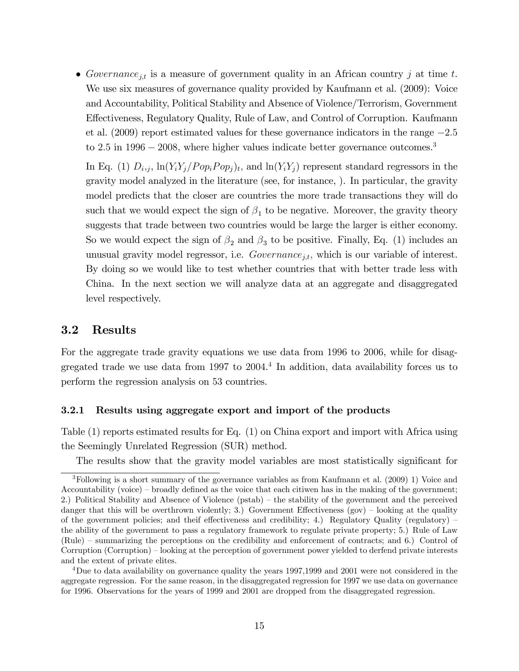Governance<sub>jst</sub> is a measure of government quality in an African country j at time t. We use six measures of governance quality provided by Kaufmann et al. (2009): Voice and Accountability, Political Stability and Absence of Violence/Terrorism, Government Effectiveness, Regulatory Quality, Rule of Law, and Control of Corruption. Kaufmann et al.  $(2009)$  report estimated values for these governance indicators in the range  $-2.5$ to  $2.5$  in  $1996 - 2008$ , where higher values indicate better governance outcomes.<sup>3</sup>

In Eq. (1)  $D_{i,j}$ ,  $\ln(Y_i Y_j / Pop_i Pop_j)_t$ , and  $\ln(Y_i Y_j)$  represent standard regressors in the gravity model analyzed in the literature (see, for instance, ). In particular, the gravity model predicts that the closer are countries the more trade transactions they will do such that we would expect the sign of  $\beta_1$  to be negative. Moreover, the gravity theory suggests that trade between two countries would be large the larger is either economy. So we would expect the sign of  $\beta_2$  and  $\beta_3$  to be positive. Finally, Eq. (1) includes an unusual gravity model regressor, i.e.  $Government_{j,t}$ , which is our variable of interest. By doing so we would like to test whether countries that with better trade less with China. In the next section we will analyze data at an aggregate and disaggregated level respectively.

### 3.2 Results

For the aggregate trade gravity equations we use data from 1996 to 2006, while for disaggregated trade we use data from 1997 to 2004. 4 In addition, data availability forces us to perform the regression analysis on 53 countries.

#### 3.2.1 Results using aggregate export and import of the products

Table (1) reports estimated results for Eq. (1) on China export and import with Africa using the Seemingly Unrelated Regression (SUR) method.

The results show that the gravity model variables are most statistically significant for

<sup>3</sup>Following is a short summary of the governance variables as from Kaufmann et al. (2009) 1) Voice and Accountability (voice)  $\sim$  broadly defined as the voice that each citiwen has in the making of the government; 2.) Political Stability and Absence of Violence (pstab) – the stability of the government and the perceived danger that this will be overthrown violently; 3.) Government Effectiveness (gov) – looking at the quality of the government policies; and their effectiveness and credibility; 4.) Regulatory Quality (regulatory) – the ability of the government to pass a regulatory framework to regulate private property; 5.) Rule of Law (Rule) – summarizing the perceptions on the credibility and enforcement of contracts; and 6.) Control of Corruption (Corruption) – looking at the perception of government power yielded to derfend private interests and the extent of private elites.

<sup>4</sup>Due to data availability on governance quality the years 1997,1999 and 2001 were not considered in the aggregate regression. For the same reason, in the disaggregated regression for 1997 we use data on governance for 1996. Observations for the years of 1999 and 2001 are dropped from the disaggregated regression.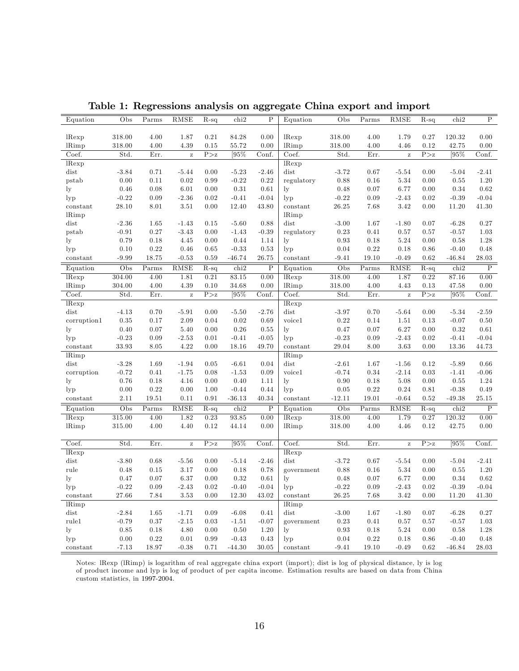| Equation                     | Obs                         | Parms                        | RMSE          | $R-sq$                      | chi2                 | $\mathbf P$               | Equation     | Obs                       | $\rm{Parms}$                 | RMSE         | $R-sq$           | chi2       | $\mathbf P$    |
|------------------------------|-----------------------------|------------------------------|---------------|-----------------------------|----------------------|---------------------------|--------------|---------------------------|------------------------------|--------------|------------------|------------|----------------|
|                              |                             |                              |               |                             |                      |                           |              |                           |                              |              |                  |            |                |
| lRexp                        | 318.00                      | 4.00                         | 1.87          | 0.21                        | 84.28                | 0.00                      | lRexp        | 318.00                    | 4.00                         | 1.79         | 0.27             | 120.32     | 0.00           |
| <b>IRimp</b>                 | 318.00                      | 4.00                         | 4.39          | 0.15                        | 55.72                | 0.00                      | <b>lRimp</b> | 318.00                    | 4.00                         | 4.46         | 0.12             | 42.75      | 0.00           |
| $\overline{\mathrm{Co}}$ ef. | $\overline{\mathrm{Std}}$ . | Err.                         | $\rm{Z}$      | P > z                       | [95%                 | $\overline{\text{Conf.}}$ | Coef.        | Std.                      | Err.                         | $\mathbf{z}$ | P > z            | $[95\%$    | Conf.          |
| lRexp                        |                             |                              |               |                             |                      |                           | lRexp        |                           |                              |              |                  |            |                |
| dist                         | $-3.84$                     | 0.71                         | $-5.44$       | 0.00                        | $-5.23$              | $-2.46$                   | dist         | $-3.72$                   | 0.67                         | $-5.54$      | 0.00             | $-5.04$    | $-2.41$        |
| pstab                        | 0.00                        | 0.11                         | 0.02          | 0.99                        | $-0.22$              | 0.22                      | regulatory   | 0.88                      | 0.16                         | 5.34         | $0.00\,$         | $\rm 0.55$ | $1.20\,$       |
| ly                           | 0.46                        | 0.08                         | 6.01          | 0.00                        | 0.31                 | 0.61                      | $_{\rm ly}$  | 0.48                      | 0.07                         | 6.77         | 0.00             | 0.34       | 0.62           |
| lyp                          | $-0.22$                     | 0.09                         | $-2.36$       | 0.02                        | $-0.41$              | $-0.04$                   | $_{\rm lyp}$ | $-0.22$                   | 0.09                         | $-2.43$      | 0.02             | $-0.39$    | $-0.04$        |
| constant                     | 28.10                       | 8.01                         | 3.51          | 0.00                        | 12.40                | 43.80                     | constant     | 26.25                     | 7.68                         | 3.42         | 0.00             | 11.20      | 41.30          |
| <b>IRimp</b>                 |                             |                              |               |                             |                      |                           | <b>lRimp</b> |                           |                              |              |                  |            |                |
| dist                         | $-2.36$                     | 1.65                         | $-1.43$       | 0.15                        | $-5.60$              | 0.88                      | dist         | $-3.00$                   | 1.67                         | $-1.80$      | 0.07             | $-6.28$    | 0.27           |
| pstab                        | $-0.91$                     | 0.27                         | $-3.43$       | 0.00                        | $-1.43$              | $-0.39$                   | regulatory   | 0.23                      | 0.41                         | 0.57         | 0.57             | $-0.57$    | 1.03           |
| $_{\rm ly}$                  | 0.79                        | 0.18                         | 4.45          | 0.00                        | 0.44                 | 1.14                      | ly           | 0.93                      | 0.18                         | 5.24         | 0.00             | 0.58       | 1.28           |
| $_{\rm lyp}$                 | 0.10                        | 0.22                         | 0.46          | 0.65                        | $-0.33$              | 0.53                      | $_{\rm lyp}$ | 0.04                      | 0.22                         | 0.18         | 0.86             | $-0.40$    | $0.48\,$       |
| constant                     | $-9.99$                     | 18.75                        | $-0.53$       | 0.59                        | $-46.74$             | 26.75                     | constant     | $-9.41$                   | 19.10                        | $-0.49$      | $0.62\,$         | $-46.84$   | 28.03          |
| Equation                     | Obs                         | $\overline{\mathrm{P}}$ arms | <b>RMSE</b>   | $R-sq$                      | chi2                 | $\overline{P}$            | Equation     | Obs                       | $\overline{\mathrm{Parms}}$  | <b>RMSE</b>  | $R-sq$           | chi2       | $\overline{P}$ |
| lRexp                        | 304.00                      | 4.00                         | 1.81          | 0.21                        | 83.15                | 0.00                      | lRexp        | 318.00                    | 4.00                         | 1.87         | 0.22             | 87.16      | 0.00           |
| lRimp                        | 304.00                      | 4.00                         | 4.39          | 0.10                        | 34.68                | 0.00                      | <b>lRimp</b> | 318.00                    | 4.00                         | 4.43         | $0.13\,$         | 47.58      | 0.00           |
| Coef.                        | Std.                        | Err.                         | $\bar{\rm z}$ | $\overline{P>z}$            | $\sqrt{95\%}$        | Conf.                     | Coef.        | Std.                      | Err.                         | $\rm{Z}$     | $\overline{P>z}$ | [95%       | Conf.          |
| lRexp                        |                             |                              |               |                             |                      |                           | lRexp        |                           |                              |              |                  |            |                |
| dist                         | $-4.13$                     | 0.70                         | $-5.91$       | 0.00                        | $-5.50$              | $-2.76$                   | dist         | $-3.97$                   | 0.70                         | $-5.64$      | 0.00             | $-5.34$    | $-2.59$        |
| corruption1                  | 0.35                        | 0.17                         | 2.09          | 0.04                        | 0.02                 | 0.69                      | voice1       | 0.22                      | 0.14                         | 1.51         | 0.13             | $-0.07$    | 0.50           |
| ly                           | 0.40                        | 0.07                         | 5.40          | 0.00                        | $0.26\,$             | 0.55                      | $\lg$        | 0.47                      | 0.07                         | 6.27         | 0.00             | 0.32       | 0.61           |
| $_{\rm lyp}$                 | $-0.23$                     | 0.09                         | $-2.53$       | 0.01                        | $-0.41$              | $-0.05$                   | $_{\rm lyp}$ | $-0.23$                   | 0.09                         | $-2.43$      | 0.02             | $-0.41$    | $-0.04$        |
| constant                     | 33.93                       | 8.05                         | 4.22          | 0.00                        | 18.16                | 49.70                     | constant     | 29.04                     | 8.00                         | 3.63         | 0.00             | 13.36      | 44.73          |
| lRimp                        |                             |                              |               |                             |                      |                           | <b>lRimp</b> |                           |                              |              |                  |            |                |
| dist                         | $-3.28$                     | 1.69                         | $-1.94$       | 0.05                        | $-6.61$              | 0.04                      | dist         | $-2.61$                   | 1.67                         | $-1.56$      | 0.12             | $-5.89$    | 0.66           |
| corruption                   | $-0.72$                     | 0.41                         | $-1.75$       | 0.08                        | $-1.53$              | 0.09                      | voice1       | $-0.74$                   | 0.34                         | $-2.14$      | $\rm 0.03$       | $-1.41$    | $-0.06$        |
| $_{\rm ly}$                  | 0.76                        | 0.18                         | 4.16          | 0.00                        | 0.40                 | 1.11                      | ly           | 0.90                      | 0.18                         | 5.08         | 0.00             | 0.55       | 1.24           |
| $_{\rm lyp}$                 | $0.00\,$                    | 0.22                         | 0.00          | 1.00                        | $-0.44$              | 0.44                      | $_{\rm lyp}$ | 0.05                      | $0.22\,$                     | 0.24         | $\rm 0.81$       | $-0.38$    | 0.49           |
| constant                     | 2.11                        | 19.51                        | 0.11          | 0.91                        | $-36.13$             | 40.34                     | constant     | $-12.11$                  | 19.01                        | $-0.64$      | 0.52             | $-49.38$   | 25.15          |
| Equation                     | $\overline{\mathrm{Obs}}$   | $\overline{\mathrm{P}}$ arms | RMSE          | $\overline{\mathrm{R}}$ -sq | chi <sub>2</sub>     | $\overline{P}$            | Equation     | $\overline{\mathrm{Obs}}$ | $\overline{\mathrm{P}}$ arms | RMSE         | $R-sq$           | chi2       | $\overline{P}$ |
| lRexp                        | 315.00                      | 4.00                         | 1.82          | 0.23                        | $\boldsymbol{93.85}$ | 0.00                      | lRexp        | 318.00                    | $4.00\,$                     | 1.79         | $0.27\,$         | 120.32     | $0.00\,$       |
| <b>lRimp</b>                 | 315.00                      | 4.00                         | 4.40          | 0.12                        | 44.14                | 0.00                      | <b>lRimp</b> | 318.00                    | 4.00                         | 4.46         | 0.12             | 42.75      | 0.00           |
|                              |                             |                              |               |                             |                      |                           |              |                           |                              |              |                  |            |                |
| Coef.                        | Std.                        | Err.                         | $\bar{\rm z}$ | $\rm P\!>\!z$               | [95%                 | Conf.                     | Coef.        | Std.                      | Err.                         | $\mathbf{z}$ | $\rm P\!>\!z$    | $[95\%$    | Conf.          |
| lRexp                        |                             |                              |               |                             |                      |                           | lRexp        |                           |                              |              |                  |            |                |
| dist                         | $-3.80$                     | 0.68                         | $-5.56$       | 0.00                        | $-5.14$              | $-2.46$                   | dist         | $-3.72$                   | 0.67                         | $-5.54$      | 0.00             | $-5.04$    | $-2.41$        |
| rule                         | 0.48                        | 0.15                         | 3.17          | 0.00                        | 0.18                 | 0.78                      | government   | 0.88                      | 0.16                         | 5.34         | 0.00             | 0.55       | 1.20           |
| $_{\rm ly}$                  | 0.47                        | 0.07                         | 6.37          | 0.00                        | 0.32                 | 0.61                      | $_{\rm ly}$  | 0.48                      | 0.07                         | 6.77         | 0.00             | 0.34       | 0.62           |
| $_{\rm lyp}$                 | $-0.22$                     | 0.09                         | $-2.43$       | 0.02                        | $-0.40$              | $-0.04$                   | $_{\rm lyp}$ | $-0.22$                   | 0.09                         | $-2.43$      | 0.02             | $-0.39$    | $-0.04$        |
| constant                     | 27.66                       | 7.84                         | 3.53          | 0.00                        | 12.30                | 43.02                     | constant     | 26.25                     | 7.68                         | 3.42         | 0.00             | 11.20      | 41.30          |
| <b>IRimp</b>                 |                             |                              |               |                             |                      |                           | <b>IRimp</b> |                           |                              |              |                  |            |                |
| dist                         | $-2.84$                     | 1.65                         | $-1.71$       | 0.09                        | $-6.08$              | 0.41                      | dist         | $-3.00$                   | 1.67                         | $-1.80$      | 0.07             | $-6.28$    | 0.27           |
| rule1                        | $-0.79$                     | 0.37                         | $-2.15$       | $\rm 0.03$                  | $-1.51$              | $-0.07$                   | government   | 0.23                      | 0.41                         | 0.57         | 0.57             | $-0.57$    | 1.03           |
| ly                           | 0.85                        | 0.18                         | 4.80          | 0.00                        | 0.50                 | 1.20                      | $_{\rm ly}$  | 0.93                      | 0.18                         | 5.24         | 0.00             | 0.58       | 1.28           |
| $_{\rm lyp}$                 | 0.00                        | 0.22                         | 0.01          | 0.99                        | $-0.43$              | 0.43                      | $_{\rm lyp}$ | 0.04                      | $0.22\,$                     | 0.18         | 0.86             | $-0.40$    | 0.48           |
| constant                     | $-7.13$                     | 18.97                        | $-0.38$       | 0.71                        | $-44.30$             | 30.05                     | constant     | $-9.41$                   | 19.10                        | $-0.49$      | 0.62             | $-46.84$   | 28.03          |

Table 1: Regressions analysis on aggregate China export and import

Notes: lRexp (lRimp) is logarithm of real aggregate china export (import); dist is log of physical distance, ly is log of product income and lyp is log of product of per capita income. Estimation results are based on data from China custom statistics, in 1997-2004: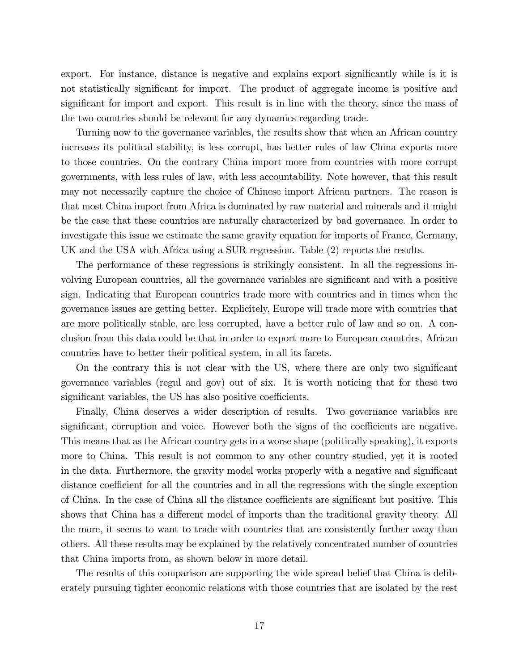export. For instance, distance is negative and explains export significantly while is it is not statistically significant for import. The product of aggregate income is positive and significant for import and export. This result is in line with the theory, since the mass of the two countries should be relevant for any dynamics regarding trade.

Turning now to the governance variables, the results show that when an African country increases its political stability, is less corrupt, has better rules of law China exports more to those countries. On the contrary China import more from countries with more corrupt governments, with less rules of law, with less accountability. Note however, that this result may not necessarily capture the choice of Chinese import African partners. The reason is that most China import from Africa is dominated by raw material and minerals and it might be the case that these countries are naturally characterized by bad governance. In order to investigate this issue we estimate the same gravity equation for imports of France, Germany, UK and the USA with Africa using a SUR regression. Table (2) reports the results.

The performance of these regressions is strikingly consistent. In all the regressions involving European countries, all the governance variables are significant and with a positive sign. Indicating that European countries trade more with countries and in times when the governance issues are getting better. Explicitely, Europe will trade more with countries that are more politically stable, are less corrupted, have a better rule of law and so on. A conclusion from this data could be that in order to export more to European countries, African countries have to better their political system, in all its facets.

On the contrary this is not clear with the US, where there are only two significant governance variables (regul and gov) out of six. It is worth noticing that for these two significant variables, the US has also positive coefficients.

Finally, China deserves a wider description of results. Two governance variables are significant, corruption and voice. However both the signs of the coefficients are negative. This means that as the African country gets in a worse shape (politically speaking), it exports more to China. This result is not common to any other country studied, yet it is rooted in the data. Furthermore, the gravity model works properly with a negative and significant distance coefficient for all the countries and in all the regressions with the single exception of China. In the case of China all the distance coefficients are significant but positive. This shows that China has a different model of imports than the traditional gravity theory. All the more, it seems to want to trade with countries that are consistently further away than others. All these results may be explained by the relatively concentrated number of countries that China imports from, as shown below in more detail.

The results of this comparison are supporting the wide spread belief that China is deliberately pursuing tighter economic relations with those countries that are isolated by the rest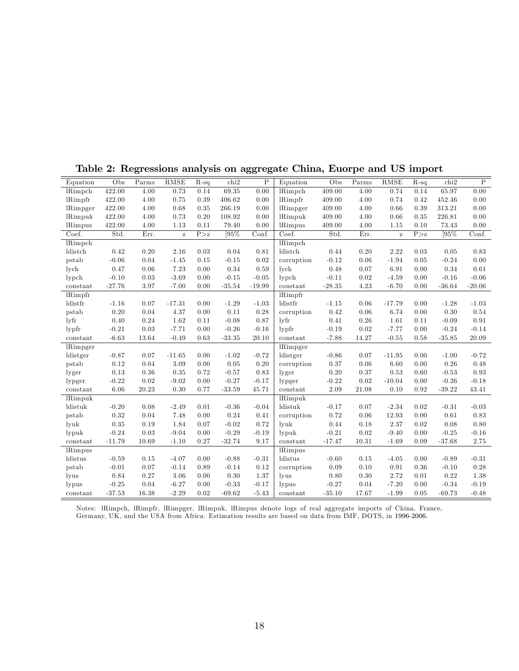| Equation                | Obs      | Parms | RMSE     | $R-sq$ | chi2     | $\mathbf P$ | Equation            | Obs      | Parms | RMSE     | $R-sq$ | chi2     | $\, {\bf P}$ |
|-------------------------|----------|-------|----------|--------|----------|-------------|---------------------|----------|-------|----------|--------|----------|--------------|
| <b>lRimpch</b>          | 422.00   | 4.00  | 0.73     | 0.14   | 69.35    | 0.00        | <b>lRimpch</b>      | 409.00   | 4.00  | 0.74     | 0.14   | 65.97    | 0.00         |
| lRimpfr                 | 422.00   | 4.00  | 0.75     | 0.39   | 406.62   | 0.00        | <b>lRimpfr</b>      | 409.00   | 4.00  | 0.74     | 0.42   | 452.46   | 0.00         |
| lRimpger                | 422.00   | 4.00  | 0.68     | 0.35   | 266.19   | 0.00        | lRimpger            | 409.00   | 4.00  | 0.66     | 0.39   | 313.21   | 0.00         |
| lRimpuk                 | 422.00   | 4.00  | 0.73     | 0.20   | 108.92   | 0.00        | lRimpuk             | 409.00   | 4.00  | 0.66     | 0.35   | 226.81   | 0.00         |
| <b>lRimpus</b>          | 422.00   | 4.00  | 1.13     | 0.11   | 79.40    | 0.00        | <b>lRimpus</b>      | 409.00   | 4.00  | 1.15     | 0.10   | 73.43    | 0.00         |
| Coef.                   | Std.     | Err.  | $\bf{z}$ | P > z  | [95%     | Conf.       | Coef.               | Std.     | Err.  | $\rm{z}$ | P > z  | [95%     | Conf.        |
| <b>lRimpch</b>          |          |       |          |        |          |             | <b>lRimpch</b>      |          |       |          |        |          |              |
| ldistch                 | 0.42     | 0.20  | 2.16     | 0.03   | 0.04     | 0.81        | ldistch             | 0.44     | 0.20  | 2.22     | 0.03   | 0.05     | 0.83         |
| pstab                   | $-0.06$  | 0.04  | $-1.45$  | 0.15   | $-0.15$  | 0.02        | corruption          | $-0.12$  | 0.06  | $-1.94$  | 0.05   | $-0.24$  | 0.00         |
| $_{\rm lych}$           | 0.47     | 0.06  | 7.23     | 0.00   | 0.34     | 0.59        | lych                | 0.48     | 0.07  | 6.91     | 0.00   | 0.34     | 0.61         |
| lypch                   | $-0.10$  | 0.03  | $-3.69$  | 0.00   | $-0.15$  | $-0.05$     | $l$ ypch            | $-0.11$  | 0.02  | $-4.59$  | 0.00   | $-0.16$  | $-0.06$      |
| constant                | $-27.76$ | 3.97  | $-7.00$  | 0.00   | $-35.54$ | $-19.99$    | constant            | $-28.35$ | 4.23  | $-6.70$  | 0.00   | $-36.64$ | $-20.06$     |
| <b>lRimpfr</b>          |          |       |          |        |          |             | <b>IRimpfr</b>      |          |       |          |        |          |              |
| ldistfr                 | $-1.16$  | 0.07  | $-17.31$ | 0.00   | $-1.29$  | $-1.03$     | ldistfr             | $-1.15$  | 0.06  | $-17.79$ | 0.00   | $-1.28$  | $-1.03$      |
| pstab                   | 0.20     | 0.04  | 4.37     | 0.00   | 0.11     | 0.28        | corruption          | 0.42     | 0.06  | 6.74     | 0.00   | 0.30     | 0.54         |
| $\frac{1}{\pi}$         | 0.40     | 0.24  | 1.62     | 0.11   | $-0.08$  | 0.87        | lyfr                | 0.41     | 0.26  | 1.61     | 0.11   | $-0.09$  | 0.91         |
| $l$ <sub>y</sub> $p$ fr | $-0.21$  | 0.03  | $-7.71$  | 0.00   | $-0.26$  | $-0.16$     | $l$ <sub>ypfr</sub> | $-0.19$  | 0.02  | $-7.77$  | 0.00   | $-0.24$  | $-0.14$      |
| constant                | $-6.63$  | 13.64 | $-0.49$  | 0.63   | $-33.35$ | 20.10       | constant            | $-7.88$  | 14.27 | $-0.55$  | 0.58   | $-35.85$ | 20.09        |
| <b>lRimpger</b>         |          |       |          |        |          |             | lRimpger            |          |       |          |        |          |              |
| ldistger                | $-0.87$  | 0.07  | $-11.65$ | 0.00   | $-1.02$  | $-0.72$     | ldistger            | $-0.86$  | 0.07  | $-11.95$ | 0.00   | $-1.00$  | $-0.72$      |
| pstab                   | 0.12     | 0.04  | 3.09     | 0.00   | 0.05     | 0.20        | corruption          | 0.37     | 0.06  | 6.60     | 0.00   | 0.26     | 0.48         |
| lyger                   | 0.13     | 0.36  | 0.35     | 0.72   | $-0.57$  | 0.83        | lyger               | 0.20     | 0.37  | 0.53     | 0.60   | $-0.53$  | 0.93         |
| lypger                  | $-0.22$  | 0.02  | $-9.02$  | 0.00   | $-0.27$  | $-0.17$     | lypger              | $-0.22$  | 0.02  | $-10.04$ | 0.00   | $-0.26$  | $-0.18$      |
| constant                | 6.06     | 20.23 | 0.30     | 0.77   | $-33.59$ | 45.71       | constant            | 2.09     | 21.08 | 0.10     | 0.92   | $-39.22$ | 43.41        |
| lRimpuk                 |          |       |          |        |          |             | lRimpuk             |          |       |          |        |          |              |
| ldistuk                 | $-0.20$  | 0.08  | $-2.49$  | 0.01   | $-0.36$  | $-0.04$     | ldistuk             | $-0.17$  | 0.07  | $-2.34$  | 0.02   | $-0.31$  | $-0.03$      |
| pstab                   | 0.32     | 0.04  | 7.48     | 0.00   | 0.24     | $0.41\,$    | corruption          | 0.72     | 0.06  | 12.93    | 0.00   | 0.61     | 0.83         |
| lyuk                    | 0.35     | 0.19  | 1.84     | 0.07   | $-0.02$  | 0.72        | lyuk                | 0.44     | 0.18  | 2.37     | 0.02   | 0.08     | 0.80         |
| lypuk                   | $-0.24$  | 0.03  | $-9.04$  | 0.00   | $-0.29$  | $-0.19$     | lypuk               | $-0.21$  | 0.02  | $-9.40$  | 0.00   | $-0.25$  | $-0.16$      |
| constant                | $-11.79$ | 10.69 | $-1.10$  | 0.27   | $-32.74$ | 9.17        | constant            | $-17.47$ | 10.31 | $-1.69$  | 0.09   | $-37.68$ | 2.75         |
| <b>lRimpus</b>          |          |       |          |        |          |             | <b>IRimpus</b>      |          |       |          |        |          |              |
| ldistus                 | $-0.59$  | 0.15  | $-4.07$  | 0.00   | $-0.88$  | $-0.31$     | ldistus             | $-0.60$  | 0.15  | $-4.05$  | 0.00   | $-0.89$  | $-0.31$      |
| pstab                   | $-0.01$  | 0.07  | $-0.14$  | 0.89   | $-0.14$  | 0.12        | corruption          | 0.09     | 0.10  | 0.91     | 0.36   | $-0.10$  | 0.28         |
| lyus                    | 0.84     | 0.27  | 3.06     | 0.00   | 0.30     | 1.37        | lyus                | 0.80     | 0.30  | 2.72     | 0.01   | 0.22     | 1.38         |
| lypus                   | $-0.25$  | 0.04  | $-6.27$  | 0.00   | $-0.33$  | $-0.17$     | lypus               | $-0.27$  | 0.04  | $-7.20$  | 0.00   | $-0.34$  | $-0.19$      |
| constant                | $-37.53$ | 16.38 | $-2.29$  | 0.02   | $-69.62$ | $-5.43$     | constant            | $-35.10$ | 17.67 | $-1.99$  | 0.05   | $-69.73$ | $-0.48$      |

Table 2: Regressions analysis on aggregate China, Euorpe and US import

Notes: lRimpch, lRimpfr, lRimpger, lRimpuk, lRimpus denote logs of real aggregate imports of China, France, Germany, UK, and the USA from Africa. Estimation results are based on data from IMF, DOTS, in 1996-2006: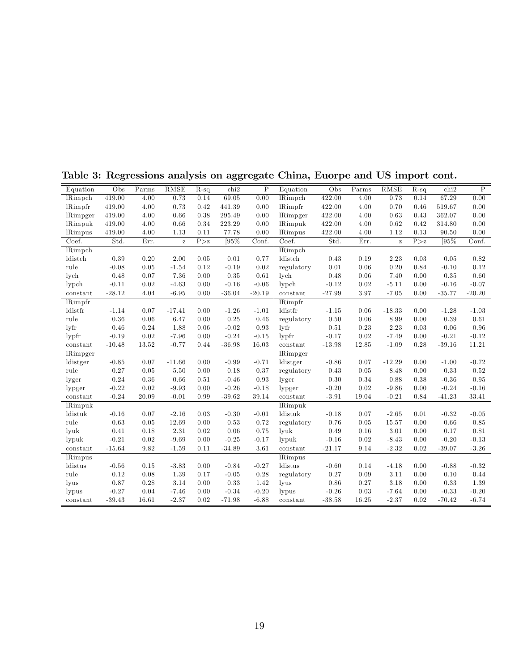| 0.00<br>419.00<br>69.05<br>0.00<br>422.00<br>0.73<br>67.29<br><b>lRimpch</b><br>4.00<br>0.73<br>0.14<br>lRimpch<br>4.00<br>0.14<br>0.42<br>0.00<br>419.00<br>4.00<br>0.73<br>441.39<br>0.00<br>lRimpfr<br>422.00<br>4.00<br>0.70<br>0.46<br>519.67<br>lRimpfr<br>0.38<br>0.00<br>419.00<br>4.00<br>0.66<br>295.49<br>0.00<br>lRimpger<br>422.00<br>4.00<br>0.63<br>0.43<br>362.07<br>lRimpger<br>419.00<br>4.00<br>0.66<br>0.34<br>223.29<br>0.00<br>lRimpuk<br>422.00<br>4.00<br>0.62<br>0.42<br>314.80<br>0.00<br>lRimpuk<br>419.00<br>4.00<br>1.13<br>0.11<br>77.78<br>0.00<br>422.00<br>4.00<br>1.12<br>0.13<br>90.50<br>0.00<br><b>lRimpus</b><br><b>lRimpus</b><br>$\sqrt{95\%}$<br>Std.<br>Conf.<br>Coef.<br>Std.<br>[95%<br>Coef.<br>Err.<br>P > z<br>Err.<br>P > z<br>Conf.<br>$\bf{z}$<br>$\bf{z}$<br><b>lRimpch</b><br><b>lRimpch</b><br>0.20<br>2.00<br>0.77<br>ldistch<br>0.19<br>0.82<br>ldistch<br>0.39<br>0.05<br>0.01<br>0.43<br>2.23<br>0.03<br>0.05<br>rule<br>$-0.08$<br>0.12<br>0.02<br>0.06<br>0.20<br>0.12<br>0.05<br>$-1.54$<br>$-0.19$<br>regulatory<br>0.01<br>0.84<br>$-0.10$<br>0.48<br>0.07<br>7.36<br>0.00<br>0.35<br>0.61<br>0.48<br>0.06<br>7.40<br>0.35<br>0.60<br>lych<br>lych<br>0.00<br>$-4.63$<br>$-0.16$<br>$-0.06$<br>0.02<br>$-5.11$<br>$-0.16$<br>$-0.11$<br>0.02<br>0.00<br>$l$ ypch<br>$-0.12$<br>0.00<br>$-0.07$<br>$l$ ypch<br>$-28.12$<br>4.04<br>$-36.04$<br>3.97<br>$-7.05$<br>$-35.77$<br>$-6.95$<br>0.00<br>$-20.19$<br>constant<br>$-27.99$<br>0.00<br>$-20.20$<br>constant<br>lRimpfr<br>lRimpfr<br>$-1.26$<br>ldistfr<br>0.06<br>$-1.03$<br>ldistfr<br>$-1.14$<br>0.07<br>$-17.41$<br>0.00<br>$-1.01$<br>$-1.15$<br>$-18.33$<br>0.00<br>$-1.28$<br>rule<br>0.36<br>0.25<br>0.46<br>0.06<br>0.39<br>0.06<br>6.47<br>0.00<br>regulatory<br>0.50<br>8.99<br>0.00<br>0.61<br>$\frac{1}{\pi}$<br>0.46<br>$-0.02$<br>0.93<br>$1\nu$ fr<br>0.23<br>2.23<br>0.24<br>1.88<br>0.06<br>0.51<br>0.03<br>0.06<br>0.96<br>$-0.24$<br>0.02<br>$-0.21$<br>$l$ <sub>y</sub> $p$ fr<br>$-0.19$<br>0.02<br>$-7.96$<br>0.00<br>$-0.15$<br>$l$ <sub>ypfr</sub><br>$-0.17$<br>$-7.49$<br>0.00<br>$-0.12$<br>$-10.48$<br>13.52<br>$-0.77$<br>0.44<br>$-36.98$<br>16.03<br>$-13.98$<br>12.85<br>$-1.09$<br>0.28<br>$-39.16$<br>11.21<br>constant<br>constant<br>$\overline{\text{lkim}}$ pger<br>lRimpger<br>$-0.85$<br>0.07<br>$-11.66$<br>0.00<br>$-0.99$<br>$-0.71$<br>ldistger<br>0.07<br>$-12.29$<br>0.00<br>$-1.00$<br>$-0.72$<br>ldistger<br>$-0.86$<br>0.27<br>0.18<br>0.37<br>0.05<br>0.33<br>rule<br>0.05<br>5.50<br>0.00<br>0.43<br>8.48<br>0.00<br>0.52<br>regulatory<br>0.24<br>0.93<br>0.30<br>0.34<br>0.88<br>0.36<br>0.66<br>0.51<br>$-0.46$<br>0.38<br>$-0.36$<br>0.95<br>lyger<br>lyger<br>$-0.22$<br>$-0.26$<br>$-0.18$<br>0.02<br>$-0.24$<br>0.02<br>$-9.93$<br>0.00<br>$-0.20$<br>$-9.86$<br>0.00<br>$-0.16$<br>lypger<br>lypger<br>$-0.24$<br>33.41<br>20.09<br>$-0.01$<br>0.99<br>$-39.62$<br>39.14<br>$-3.91$<br>19.04<br>$-0.21$<br>0.84<br>$-41.23$<br>constant<br>constant<br>lRimpuk<br><b>lRimpuk</b><br>0.07<br>0.03<br>$-0.30$<br>$-0.01$<br>ldistuk<br>0.07<br>$-2.65$<br>$-0.05$<br>ldistuk<br>$-0.16$<br>$-2.16$<br>$-0.18$<br>0.01<br>$-0.32$<br>$\rm 0.63$<br>0.72<br>0.05<br>rule<br>$0.05\,$<br>12.69<br>0.00<br>0.53<br>0.76<br>15.57<br>0.66<br>$0.85\,$<br>regulatory<br>0.00<br>0.75<br>0.16<br>3.01<br>lyuk<br>0.41<br>0.18<br>2.31<br>0.02<br>0.06<br>lyuk<br>0.49<br>0.17<br>0.81<br>0.00<br>$-0.21$<br>$-0.20$<br>0.02<br>$-9.69$<br>0.00<br>$-0.25$<br>$-0.17$<br>lypuk<br>$-0.16$<br>$0.02\,$<br>$-8.43$<br>$-0.13$<br>lypuk<br>0.00<br>$-2.32$<br>$-3.26$<br>$-15.64$<br>9.82<br>$-34.89$<br>3.61<br>9.14<br>$-39.07$<br>$-1.59$<br>0.11<br>constant<br>$-21.17$<br>0.02<br>constant<br><i>lRimpus</i><br><i>lRimpus</i><br>$-0.84$<br>$-0.27$<br>ldistus<br>0.14<br>ldistus<br>$-0.56$<br>0.15<br>$-3.83$<br>0.00<br>$-0.60$<br>$-4.18$<br>0.00<br>$-0.88$<br>$-0.32$<br>rule<br>0.28<br>0.09<br>3.11<br>0.12<br>0.08<br>1.39<br>0.17<br>$-0.05$<br>regulatory<br>0.27<br>0.00<br>0.10<br>0.44<br>1.42<br>0.87<br>$3.14\,$<br>0.33<br>0.27<br>3.18<br>0.28<br>0.00<br>lyus<br>0.86<br>0.00<br>0.33<br>1.39<br>lyus<br>$-0.27$<br>$-0.34$<br>$-0.20$<br>0.03<br>$-7.64$<br>0.04<br>$-7.46$<br>0.00<br>lypus<br>$-0.26$<br>0.00<br>$-0.33$<br>$-0.20$<br>lypus<br>$-6.88$<br>16.25<br>$-2.37$<br>$-6.74$<br>$-39.43$<br>16.61<br>$-2.37$<br>0.02<br>$-71.98$<br>$-38.58$<br>0.02<br>$-70.42$<br>constant<br>constant | Equation | Obs | Parms | RMSE | $R-sq$ | chi2 | $\mathbf P$ | Equation | Obs | Parms | RMSE | $R-sq$ | chi <sub>2</sub> | $\, {\bf P}$ |
|---------------------------------------------------------------------------------------------------------------------------------------------------------------------------------------------------------------------------------------------------------------------------------------------------------------------------------------------------------------------------------------------------------------------------------------------------------------------------------------------------------------------------------------------------------------------------------------------------------------------------------------------------------------------------------------------------------------------------------------------------------------------------------------------------------------------------------------------------------------------------------------------------------------------------------------------------------------------------------------------------------------------------------------------------------------------------------------------------------------------------------------------------------------------------------------------------------------------------------------------------------------------------------------------------------------------------------------------------------------------------------------------------------------------------------------------------------------------------------------------------------------------------------------------------------------------------------------------------------------------------------------------------------------------------------------------------------------------------------------------------------------------------------------------------------------------------------------------------------------------------------------------------------------------------------------------------------------------------------------------------------------------------------------------------------------------------------------------------------------------------------------------------------------------------------------------------------------------------------------------------------------------------------------------------------------------------------------------------------------------------------------------------------------------------------------------------------------------------------------------------------------------------------------------------------------------------------------------------------------------------------------------------------------------------------------------------------------------------------------------------------------------------------------------------------------------------------------------------------------------------------------------------------------------------------------------------------------------------------------------------------------------------------------------------------------------------------------------------------------------------------------------------------------------------------------------------------------------------------------------------------------------------------------------------------------------------------------------------------------------------------------------------------------------------------------------------------------------------------------------------------------------------------------------------------------------------------------------------------------------------------------------------------------------------------------------------------------------------------------------------------------------------------------------------------------------------------------------------------------------------------------------------------------------------------------------------------------------------------------------------------------------------------------------------------------------------------------------------------------------------------------------------------------------------------------------------------------------------------------------------------------------------------------------------------------------------------------------------------------------------------------------------------------------------------------------------------------------------------------------------|----------|-----|-------|------|--------|------|-------------|----------|-----|-------|------|--------|------------------|--------------|
|                                                                                                                                                                                                                                                                                                                                                                                                                                                                                                                                                                                                                                                                                                                                                                                                                                                                                                                                                                                                                                                                                                                                                                                                                                                                                                                                                                                                                                                                                                                                                                                                                                                                                                                                                                                                                                                                                                                                                                                                                                                                                                                                                                                                                                                                                                                                                                                                                                                                                                                                                                                                                                                                                                                                                                                                                                                                                                                                                                                                                                                                                                                                                                                                                                                                                                                                                                                                                                                                                                                                                                                                                                                                                                                                                                                                                                                                                                                                                                                                                                                                                                                                                                                                                                                                                                                                                                                                                                                                                                   |          |     |       |      |        |      |             |          |     |       |      |        |                  |              |
|                                                                                                                                                                                                                                                                                                                                                                                                                                                                                                                                                                                                                                                                                                                                                                                                                                                                                                                                                                                                                                                                                                                                                                                                                                                                                                                                                                                                                                                                                                                                                                                                                                                                                                                                                                                                                                                                                                                                                                                                                                                                                                                                                                                                                                                                                                                                                                                                                                                                                                                                                                                                                                                                                                                                                                                                                                                                                                                                                                                                                                                                                                                                                                                                                                                                                                                                                                                                                                                                                                                                                                                                                                                                                                                                                                                                                                                                                                                                                                                                                                                                                                                                                                                                                                                                                                                                                                                                                                                                                                   |          |     |       |      |        |      |             |          |     |       |      |        |                  |              |
|                                                                                                                                                                                                                                                                                                                                                                                                                                                                                                                                                                                                                                                                                                                                                                                                                                                                                                                                                                                                                                                                                                                                                                                                                                                                                                                                                                                                                                                                                                                                                                                                                                                                                                                                                                                                                                                                                                                                                                                                                                                                                                                                                                                                                                                                                                                                                                                                                                                                                                                                                                                                                                                                                                                                                                                                                                                                                                                                                                                                                                                                                                                                                                                                                                                                                                                                                                                                                                                                                                                                                                                                                                                                                                                                                                                                                                                                                                                                                                                                                                                                                                                                                                                                                                                                                                                                                                                                                                                                                                   |          |     |       |      |        |      |             |          |     |       |      |        |                  |              |
|                                                                                                                                                                                                                                                                                                                                                                                                                                                                                                                                                                                                                                                                                                                                                                                                                                                                                                                                                                                                                                                                                                                                                                                                                                                                                                                                                                                                                                                                                                                                                                                                                                                                                                                                                                                                                                                                                                                                                                                                                                                                                                                                                                                                                                                                                                                                                                                                                                                                                                                                                                                                                                                                                                                                                                                                                                                                                                                                                                                                                                                                                                                                                                                                                                                                                                                                                                                                                                                                                                                                                                                                                                                                                                                                                                                                                                                                                                                                                                                                                                                                                                                                                                                                                                                                                                                                                                                                                                                                                                   |          |     |       |      |        |      |             |          |     |       |      |        |                  |              |
|                                                                                                                                                                                                                                                                                                                                                                                                                                                                                                                                                                                                                                                                                                                                                                                                                                                                                                                                                                                                                                                                                                                                                                                                                                                                                                                                                                                                                                                                                                                                                                                                                                                                                                                                                                                                                                                                                                                                                                                                                                                                                                                                                                                                                                                                                                                                                                                                                                                                                                                                                                                                                                                                                                                                                                                                                                                                                                                                                                                                                                                                                                                                                                                                                                                                                                                                                                                                                                                                                                                                                                                                                                                                                                                                                                                                                                                                                                                                                                                                                                                                                                                                                                                                                                                                                                                                                                                                                                                                                                   |          |     |       |      |        |      |             |          |     |       |      |        |                  |              |
|                                                                                                                                                                                                                                                                                                                                                                                                                                                                                                                                                                                                                                                                                                                                                                                                                                                                                                                                                                                                                                                                                                                                                                                                                                                                                                                                                                                                                                                                                                                                                                                                                                                                                                                                                                                                                                                                                                                                                                                                                                                                                                                                                                                                                                                                                                                                                                                                                                                                                                                                                                                                                                                                                                                                                                                                                                                                                                                                                                                                                                                                                                                                                                                                                                                                                                                                                                                                                                                                                                                                                                                                                                                                                                                                                                                                                                                                                                                                                                                                                                                                                                                                                                                                                                                                                                                                                                                                                                                                                                   |          |     |       |      |        |      |             |          |     |       |      |        |                  |              |
|                                                                                                                                                                                                                                                                                                                                                                                                                                                                                                                                                                                                                                                                                                                                                                                                                                                                                                                                                                                                                                                                                                                                                                                                                                                                                                                                                                                                                                                                                                                                                                                                                                                                                                                                                                                                                                                                                                                                                                                                                                                                                                                                                                                                                                                                                                                                                                                                                                                                                                                                                                                                                                                                                                                                                                                                                                                                                                                                                                                                                                                                                                                                                                                                                                                                                                                                                                                                                                                                                                                                                                                                                                                                                                                                                                                                                                                                                                                                                                                                                                                                                                                                                                                                                                                                                                                                                                                                                                                                                                   |          |     |       |      |        |      |             |          |     |       |      |        |                  |              |
|                                                                                                                                                                                                                                                                                                                                                                                                                                                                                                                                                                                                                                                                                                                                                                                                                                                                                                                                                                                                                                                                                                                                                                                                                                                                                                                                                                                                                                                                                                                                                                                                                                                                                                                                                                                                                                                                                                                                                                                                                                                                                                                                                                                                                                                                                                                                                                                                                                                                                                                                                                                                                                                                                                                                                                                                                                                                                                                                                                                                                                                                                                                                                                                                                                                                                                                                                                                                                                                                                                                                                                                                                                                                                                                                                                                                                                                                                                                                                                                                                                                                                                                                                                                                                                                                                                                                                                                                                                                                                                   |          |     |       |      |        |      |             |          |     |       |      |        |                  |              |
|                                                                                                                                                                                                                                                                                                                                                                                                                                                                                                                                                                                                                                                                                                                                                                                                                                                                                                                                                                                                                                                                                                                                                                                                                                                                                                                                                                                                                                                                                                                                                                                                                                                                                                                                                                                                                                                                                                                                                                                                                                                                                                                                                                                                                                                                                                                                                                                                                                                                                                                                                                                                                                                                                                                                                                                                                                                                                                                                                                                                                                                                                                                                                                                                                                                                                                                                                                                                                                                                                                                                                                                                                                                                                                                                                                                                                                                                                                                                                                                                                                                                                                                                                                                                                                                                                                                                                                                                                                                                                                   |          |     |       |      |        |      |             |          |     |       |      |        |                  |              |
|                                                                                                                                                                                                                                                                                                                                                                                                                                                                                                                                                                                                                                                                                                                                                                                                                                                                                                                                                                                                                                                                                                                                                                                                                                                                                                                                                                                                                                                                                                                                                                                                                                                                                                                                                                                                                                                                                                                                                                                                                                                                                                                                                                                                                                                                                                                                                                                                                                                                                                                                                                                                                                                                                                                                                                                                                                                                                                                                                                                                                                                                                                                                                                                                                                                                                                                                                                                                                                                                                                                                                                                                                                                                                                                                                                                                                                                                                                                                                                                                                                                                                                                                                                                                                                                                                                                                                                                                                                                                                                   |          |     |       |      |        |      |             |          |     |       |      |        |                  |              |
|                                                                                                                                                                                                                                                                                                                                                                                                                                                                                                                                                                                                                                                                                                                                                                                                                                                                                                                                                                                                                                                                                                                                                                                                                                                                                                                                                                                                                                                                                                                                                                                                                                                                                                                                                                                                                                                                                                                                                                                                                                                                                                                                                                                                                                                                                                                                                                                                                                                                                                                                                                                                                                                                                                                                                                                                                                                                                                                                                                                                                                                                                                                                                                                                                                                                                                                                                                                                                                                                                                                                                                                                                                                                                                                                                                                                                                                                                                                                                                                                                                                                                                                                                                                                                                                                                                                                                                                                                                                                                                   |          |     |       |      |        |      |             |          |     |       |      |        |                  |              |
|                                                                                                                                                                                                                                                                                                                                                                                                                                                                                                                                                                                                                                                                                                                                                                                                                                                                                                                                                                                                                                                                                                                                                                                                                                                                                                                                                                                                                                                                                                                                                                                                                                                                                                                                                                                                                                                                                                                                                                                                                                                                                                                                                                                                                                                                                                                                                                                                                                                                                                                                                                                                                                                                                                                                                                                                                                                                                                                                                                                                                                                                                                                                                                                                                                                                                                                                                                                                                                                                                                                                                                                                                                                                                                                                                                                                                                                                                                                                                                                                                                                                                                                                                                                                                                                                                                                                                                                                                                                                                                   |          |     |       |      |        |      |             |          |     |       |      |        |                  |              |
|                                                                                                                                                                                                                                                                                                                                                                                                                                                                                                                                                                                                                                                                                                                                                                                                                                                                                                                                                                                                                                                                                                                                                                                                                                                                                                                                                                                                                                                                                                                                                                                                                                                                                                                                                                                                                                                                                                                                                                                                                                                                                                                                                                                                                                                                                                                                                                                                                                                                                                                                                                                                                                                                                                                                                                                                                                                                                                                                                                                                                                                                                                                                                                                                                                                                                                                                                                                                                                                                                                                                                                                                                                                                                                                                                                                                                                                                                                                                                                                                                                                                                                                                                                                                                                                                                                                                                                                                                                                                                                   |          |     |       |      |        |      |             |          |     |       |      |        |                  |              |
|                                                                                                                                                                                                                                                                                                                                                                                                                                                                                                                                                                                                                                                                                                                                                                                                                                                                                                                                                                                                                                                                                                                                                                                                                                                                                                                                                                                                                                                                                                                                                                                                                                                                                                                                                                                                                                                                                                                                                                                                                                                                                                                                                                                                                                                                                                                                                                                                                                                                                                                                                                                                                                                                                                                                                                                                                                                                                                                                                                                                                                                                                                                                                                                                                                                                                                                                                                                                                                                                                                                                                                                                                                                                                                                                                                                                                                                                                                                                                                                                                                                                                                                                                                                                                                                                                                                                                                                                                                                                                                   |          |     |       |      |        |      |             |          |     |       |      |        |                  |              |
|                                                                                                                                                                                                                                                                                                                                                                                                                                                                                                                                                                                                                                                                                                                                                                                                                                                                                                                                                                                                                                                                                                                                                                                                                                                                                                                                                                                                                                                                                                                                                                                                                                                                                                                                                                                                                                                                                                                                                                                                                                                                                                                                                                                                                                                                                                                                                                                                                                                                                                                                                                                                                                                                                                                                                                                                                                                                                                                                                                                                                                                                                                                                                                                                                                                                                                                                                                                                                                                                                                                                                                                                                                                                                                                                                                                                                                                                                                                                                                                                                                                                                                                                                                                                                                                                                                                                                                                                                                                                                                   |          |     |       |      |        |      |             |          |     |       |      |        |                  |              |
|                                                                                                                                                                                                                                                                                                                                                                                                                                                                                                                                                                                                                                                                                                                                                                                                                                                                                                                                                                                                                                                                                                                                                                                                                                                                                                                                                                                                                                                                                                                                                                                                                                                                                                                                                                                                                                                                                                                                                                                                                                                                                                                                                                                                                                                                                                                                                                                                                                                                                                                                                                                                                                                                                                                                                                                                                                                                                                                                                                                                                                                                                                                                                                                                                                                                                                                                                                                                                                                                                                                                                                                                                                                                                                                                                                                                                                                                                                                                                                                                                                                                                                                                                                                                                                                                                                                                                                                                                                                                                                   |          |     |       |      |        |      |             |          |     |       |      |        |                  |              |
|                                                                                                                                                                                                                                                                                                                                                                                                                                                                                                                                                                                                                                                                                                                                                                                                                                                                                                                                                                                                                                                                                                                                                                                                                                                                                                                                                                                                                                                                                                                                                                                                                                                                                                                                                                                                                                                                                                                                                                                                                                                                                                                                                                                                                                                                                                                                                                                                                                                                                                                                                                                                                                                                                                                                                                                                                                                                                                                                                                                                                                                                                                                                                                                                                                                                                                                                                                                                                                                                                                                                                                                                                                                                                                                                                                                                                                                                                                                                                                                                                                                                                                                                                                                                                                                                                                                                                                                                                                                                                                   |          |     |       |      |        |      |             |          |     |       |      |        |                  |              |
|                                                                                                                                                                                                                                                                                                                                                                                                                                                                                                                                                                                                                                                                                                                                                                                                                                                                                                                                                                                                                                                                                                                                                                                                                                                                                                                                                                                                                                                                                                                                                                                                                                                                                                                                                                                                                                                                                                                                                                                                                                                                                                                                                                                                                                                                                                                                                                                                                                                                                                                                                                                                                                                                                                                                                                                                                                                                                                                                                                                                                                                                                                                                                                                                                                                                                                                                                                                                                                                                                                                                                                                                                                                                                                                                                                                                                                                                                                                                                                                                                                                                                                                                                                                                                                                                                                                                                                                                                                                                                                   |          |     |       |      |        |      |             |          |     |       |      |        |                  |              |
|                                                                                                                                                                                                                                                                                                                                                                                                                                                                                                                                                                                                                                                                                                                                                                                                                                                                                                                                                                                                                                                                                                                                                                                                                                                                                                                                                                                                                                                                                                                                                                                                                                                                                                                                                                                                                                                                                                                                                                                                                                                                                                                                                                                                                                                                                                                                                                                                                                                                                                                                                                                                                                                                                                                                                                                                                                                                                                                                                                                                                                                                                                                                                                                                                                                                                                                                                                                                                                                                                                                                                                                                                                                                                                                                                                                                                                                                                                                                                                                                                                                                                                                                                                                                                                                                                                                                                                                                                                                                                                   |          |     |       |      |        |      |             |          |     |       |      |        |                  |              |
|                                                                                                                                                                                                                                                                                                                                                                                                                                                                                                                                                                                                                                                                                                                                                                                                                                                                                                                                                                                                                                                                                                                                                                                                                                                                                                                                                                                                                                                                                                                                                                                                                                                                                                                                                                                                                                                                                                                                                                                                                                                                                                                                                                                                                                                                                                                                                                                                                                                                                                                                                                                                                                                                                                                                                                                                                                                                                                                                                                                                                                                                                                                                                                                                                                                                                                                                                                                                                                                                                                                                                                                                                                                                                                                                                                                                                                                                                                                                                                                                                                                                                                                                                                                                                                                                                                                                                                                                                                                                                                   |          |     |       |      |        |      |             |          |     |       |      |        |                  |              |
|                                                                                                                                                                                                                                                                                                                                                                                                                                                                                                                                                                                                                                                                                                                                                                                                                                                                                                                                                                                                                                                                                                                                                                                                                                                                                                                                                                                                                                                                                                                                                                                                                                                                                                                                                                                                                                                                                                                                                                                                                                                                                                                                                                                                                                                                                                                                                                                                                                                                                                                                                                                                                                                                                                                                                                                                                                                                                                                                                                                                                                                                                                                                                                                                                                                                                                                                                                                                                                                                                                                                                                                                                                                                                                                                                                                                                                                                                                                                                                                                                                                                                                                                                                                                                                                                                                                                                                                                                                                                                                   |          |     |       |      |        |      |             |          |     |       |      |        |                  |              |
|                                                                                                                                                                                                                                                                                                                                                                                                                                                                                                                                                                                                                                                                                                                                                                                                                                                                                                                                                                                                                                                                                                                                                                                                                                                                                                                                                                                                                                                                                                                                                                                                                                                                                                                                                                                                                                                                                                                                                                                                                                                                                                                                                                                                                                                                                                                                                                                                                                                                                                                                                                                                                                                                                                                                                                                                                                                                                                                                                                                                                                                                                                                                                                                                                                                                                                                                                                                                                                                                                                                                                                                                                                                                                                                                                                                                                                                                                                                                                                                                                                                                                                                                                                                                                                                                                                                                                                                                                                                                                                   |          |     |       |      |        |      |             |          |     |       |      |        |                  |              |
|                                                                                                                                                                                                                                                                                                                                                                                                                                                                                                                                                                                                                                                                                                                                                                                                                                                                                                                                                                                                                                                                                                                                                                                                                                                                                                                                                                                                                                                                                                                                                                                                                                                                                                                                                                                                                                                                                                                                                                                                                                                                                                                                                                                                                                                                                                                                                                                                                                                                                                                                                                                                                                                                                                                                                                                                                                                                                                                                                                                                                                                                                                                                                                                                                                                                                                                                                                                                                                                                                                                                                                                                                                                                                                                                                                                                                                                                                                                                                                                                                                                                                                                                                                                                                                                                                                                                                                                                                                                                                                   |          |     |       |      |        |      |             |          |     |       |      |        |                  |              |
|                                                                                                                                                                                                                                                                                                                                                                                                                                                                                                                                                                                                                                                                                                                                                                                                                                                                                                                                                                                                                                                                                                                                                                                                                                                                                                                                                                                                                                                                                                                                                                                                                                                                                                                                                                                                                                                                                                                                                                                                                                                                                                                                                                                                                                                                                                                                                                                                                                                                                                                                                                                                                                                                                                                                                                                                                                                                                                                                                                                                                                                                                                                                                                                                                                                                                                                                                                                                                                                                                                                                                                                                                                                                                                                                                                                                                                                                                                                                                                                                                                                                                                                                                                                                                                                                                                                                                                                                                                                                                                   |          |     |       |      |        |      |             |          |     |       |      |        |                  |              |
|                                                                                                                                                                                                                                                                                                                                                                                                                                                                                                                                                                                                                                                                                                                                                                                                                                                                                                                                                                                                                                                                                                                                                                                                                                                                                                                                                                                                                                                                                                                                                                                                                                                                                                                                                                                                                                                                                                                                                                                                                                                                                                                                                                                                                                                                                                                                                                                                                                                                                                                                                                                                                                                                                                                                                                                                                                                                                                                                                                                                                                                                                                                                                                                                                                                                                                                                                                                                                                                                                                                                                                                                                                                                                                                                                                                                                                                                                                                                                                                                                                                                                                                                                                                                                                                                                                                                                                                                                                                                                                   |          |     |       |      |        |      |             |          |     |       |      |        |                  |              |
|                                                                                                                                                                                                                                                                                                                                                                                                                                                                                                                                                                                                                                                                                                                                                                                                                                                                                                                                                                                                                                                                                                                                                                                                                                                                                                                                                                                                                                                                                                                                                                                                                                                                                                                                                                                                                                                                                                                                                                                                                                                                                                                                                                                                                                                                                                                                                                                                                                                                                                                                                                                                                                                                                                                                                                                                                                                                                                                                                                                                                                                                                                                                                                                                                                                                                                                                                                                                                                                                                                                                                                                                                                                                                                                                                                                                                                                                                                                                                                                                                                                                                                                                                                                                                                                                                                                                                                                                                                                                                                   |          |     |       |      |        |      |             |          |     |       |      |        |                  |              |
|                                                                                                                                                                                                                                                                                                                                                                                                                                                                                                                                                                                                                                                                                                                                                                                                                                                                                                                                                                                                                                                                                                                                                                                                                                                                                                                                                                                                                                                                                                                                                                                                                                                                                                                                                                                                                                                                                                                                                                                                                                                                                                                                                                                                                                                                                                                                                                                                                                                                                                                                                                                                                                                                                                                                                                                                                                                                                                                                                                                                                                                                                                                                                                                                                                                                                                                                                                                                                                                                                                                                                                                                                                                                                                                                                                                                                                                                                                                                                                                                                                                                                                                                                                                                                                                                                                                                                                                                                                                                                                   |          |     |       |      |        |      |             |          |     |       |      |        |                  |              |
|                                                                                                                                                                                                                                                                                                                                                                                                                                                                                                                                                                                                                                                                                                                                                                                                                                                                                                                                                                                                                                                                                                                                                                                                                                                                                                                                                                                                                                                                                                                                                                                                                                                                                                                                                                                                                                                                                                                                                                                                                                                                                                                                                                                                                                                                                                                                                                                                                                                                                                                                                                                                                                                                                                                                                                                                                                                                                                                                                                                                                                                                                                                                                                                                                                                                                                                                                                                                                                                                                                                                                                                                                                                                                                                                                                                                                                                                                                                                                                                                                                                                                                                                                                                                                                                                                                                                                                                                                                                                                                   |          |     |       |      |        |      |             |          |     |       |      |        |                  |              |
|                                                                                                                                                                                                                                                                                                                                                                                                                                                                                                                                                                                                                                                                                                                                                                                                                                                                                                                                                                                                                                                                                                                                                                                                                                                                                                                                                                                                                                                                                                                                                                                                                                                                                                                                                                                                                                                                                                                                                                                                                                                                                                                                                                                                                                                                                                                                                                                                                                                                                                                                                                                                                                                                                                                                                                                                                                                                                                                                                                                                                                                                                                                                                                                                                                                                                                                                                                                                                                                                                                                                                                                                                                                                                                                                                                                                                                                                                                                                                                                                                                                                                                                                                                                                                                                                                                                                                                                                                                                                                                   |          |     |       |      |        |      |             |          |     |       |      |        |                  |              |
|                                                                                                                                                                                                                                                                                                                                                                                                                                                                                                                                                                                                                                                                                                                                                                                                                                                                                                                                                                                                                                                                                                                                                                                                                                                                                                                                                                                                                                                                                                                                                                                                                                                                                                                                                                                                                                                                                                                                                                                                                                                                                                                                                                                                                                                                                                                                                                                                                                                                                                                                                                                                                                                                                                                                                                                                                                                                                                                                                                                                                                                                                                                                                                                                                                                                                                                                                                                                                                                                                                                                                                                                                                                                                                                                                                                                                                                                                                                                                                                                                                                                                                                                                                                                                                                                                                                                                                                                                                                                                                   |          |     |       |      |        |      |             |          |     |       |      |        |                  |              |
|                                                                                                                                                                                                                                                                                                                                                                                                                                                                                                                                                                                                                                                                                                                                                                                                                                                                                                                                                                                                                                                                                                                                                                                                                                                                                                                                                                                                                                                                                                                                                                                                                                                                                                                                                                                                                                                                                                                                                                                                                                                                                                                                                                                                                                                                                                                                                                                                                                                                                                                                                                                                                                                                                                                                                                                                                                                                                                                                                                                                                                                                                                                                                                                                                                                                                                                                                                                                                                                                                                                                                                                                                                                                                                                                                                                                                                                                                                                                                                                                                                                                                                                                                                                                                                                                                                                                                                                                                                                                                                   |          |     |       |      |        |      |             |          |     |       |      |        |                  |              |
|                                                                                                                                                                                                                                                                                                                                                                                                                                                                                                                                                                                                                                                                                                                                                                                                                                                                                                                                                                                                                                                                                                                                                                                                                                                                                                                                                                                                                                                                                                                                                                                                                                                                                                                                                                                                                                                                                                                                                                                                                                                                                                                                                                                                                                                                                                                                                                                                                                                                                                                                                                                                                                                                                                                                                                                                                                                                                                                                                                                                                                                                                                                                                                                                                                                                                                                                                                                                                                                                                                                                                                                                                                                                                                                                                                                                                                                                                                                                                                                                                                                                                                                                                                                                                                                                                                                                                                                                                                                                                                   |          |     |       |      |        |      |             |          |     |       |      |        |                  |              |
|                                                                                                                                                                                                                                                                                                                                                                                                                                                                                                                                                                                                                                                                                                                                                                                                                                                                                                                                                                                                                                                                                                                                                                                                                                                                                                                                                                                                                                                                                                                                                                                                                                                                                                                                                                                                                                                                                                                                                                                                                                                                                                                                                                                                                                                                                                                                                                                                                                                                                                                                                                                                                                                                                                                                                                                                                                                                                                                                                                                                                                                                                                                                                                                                                                                                                                                                                                                                                                                                                                                                                                                                                                                                                                                                                                                                                                                                                                                                                                                                                                                                                                                                                                                                                                                                                                                                                                                                                                                                                                   |          |     |       |      |        |      |             |          |     |       |      |        |                  |              |
|                                                                                                                                                                                                                                                                                                                                                                                                                                                                                                                                                                                                                                                                                                                                                                                                                                                                                                                                                                                                                                                                                                                                                                                                                                                                                                                                                                                                                                                                                                                                                                                                                                                                                                                                                                                                                                                                                                                                                                                                                                                                                                                                                                                                                                                                                                                                                                                                                                                                                                                                                                                                                                                                                                                                                                                                                                                                                                                                                                                                                                                                                                                                                                                                                                                                                                                                                                                                                                                                                                                                                                                                                                                                                                                                                                                                                                                                                                                                                                                                                                                                                                                                                                                                                                                                                                                                                                                                                                                                                                   |          |     |       |      |        |      |             |          |     |       |      |        |                  |              |
|                                                                                                                                                                                                                                                                                                                                                                                                                                                                                                                                                                                                                                                                                                                                                                                                                                                                                                                                                                                                                                                                                                                                                                                                                                                                                                                                                                                                                                                                                                                                                                                                                                                                                                                                                                                                                                                                                                                                                                                                                                                                                                                                                                                                                                                                                                                                                                                                                                                                                                                                                                                                                                                                                                                                                                                                                                                                                                                                                                                                                                                                                                                                                                                                                                                                                                                                                                                                                                                                                                                                                                                                                                                                                                                                                                                                                                                                                                                                                                                                                                                                                                                                                                                                                                                                                                                                                                                                                                                                                                   |          |     |       |      |        |      |             |          |     |       |      |        |                  |              |
|                                                                                                                                                                                                                                                                                                                                                                                                                                                                                                                                                                                                                                                                                                                                                                                                                                                                                                                                                                                                                                                                                                                                                                                                                                                                                                                                                                                                                                                                                                                                                                                                                                                                                                                                                                                                                                                                                                                                                                                                                                                                                                                                                                                                                                                                                                                                                                                                                                                                                                                                                                                                                                                                                                                                                                                                                                                                                                                                                                                                                                                                                                                                                                                                                                                                                                                                                                                                                                                                                                                                                                                                                                                                                                                                                                                                                                                                                                                                                                                                                                                                                                                                                                                                                                                                                                                                                                                                                                                                                                   |          |     |       |      |        |      |             |          |     |       |      |        |                  |              |

Table 3: Regressions analysis on aggregate China, Euorpe and US import cont.

L,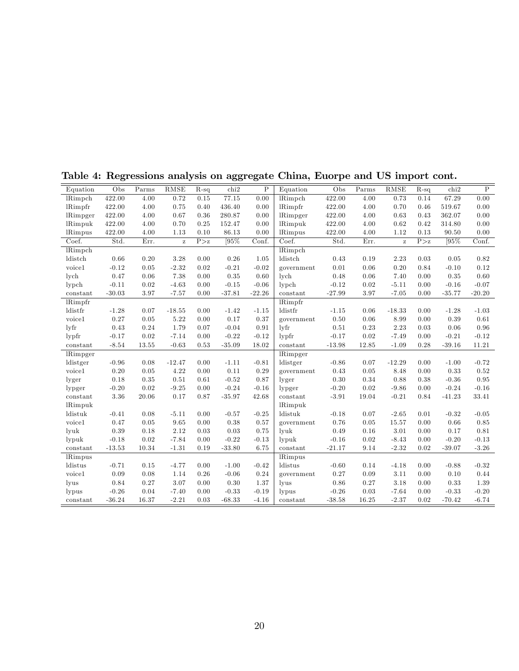| Equation            | Obs      | Parms | RMSE         | $R-sq$ | chi2     | $\mathbf P$ | Equation            | Obs      | Parms | RMSE         | $R-sq$ | chi2     | $\mathbf P$ |
|---------------------|----------|-------|--------------|--------|----------|-------------|---------------------|----------|-------|--------------|--------|----------|-------------|
| <b>lRimpch</b>      | 422.00   | 4.00  | 0.72         | 0.15   | 77.15    | 0.00        | <b>lRimpch</b>      | 422.00   | 4.00  | 0.73         | 0.14   | 67.29    | 0.00        |
| <b>lRimpfr</b>      | 422.00   | 4.00  | 0.75         | 0.40   | 436.40   | 0.00        | <b>lRimpfr</b>      | 422.00   | 4.00  | 0.70         | 0.46   | 519.67   | 0.00        |
| lRimpger            | 422.00   | 4.00  | 0.67         | 0.36   | 280.87   | 0.00        | lRimpger            | 422.00   | 4.00  | 0.63         | 0.43   | 362.07   | 0.00        |
| lRimpuk             | 422.00   | 4.00  | 0.70         | 0.25   | 152.47   | 0.00        | lRimpuk             | 422.00   | 4.00  | 0.62         | 0.42   | 314.80   | 0.00        |
| <b>lRimpus</b>      | 422.00   | 4.00  | 1.13         | 0.10   | 86.13    | 0.00        | lRimpus             | 422.00   | 4.00  | 1.12         | 0.13   | 90.50    | 0.00        |
| Coef.               | Std.     | Err.  | $\mathbf{z}$ | P > z  | [95%]    | Conf.       | Coef.               | Std.     | Err.  | $\mathbf{z}$ | P > z  | [95%     | Conf.       |
| <b>lRimpch</b>      |          |       |              |        |          |             | <b>lRimpch</b>      |          |       |              |        |          |             |
| ldistch             | 0.66     | 0.20  | 3.28         | 0.00   | 0.26     | 1.05        | ldistch             | 0.43     | 0.19  | 2.23         | 0.03   | 0.05     | 0.82        |
| voice1              | $-0.12$  | 0.05  | $-2.32$      | 0.02   | $-0.21$  | $-0.02$     | government          | 0.01     | 0.06  | 0.20         | 0.84   | $-0.10$  | 0.12        |
| lych                | 0.47     | 0.06  | 7.38         | 0.00   | 0.35     | 0.60        | lych                | 0.48     | 0.06  | 7.40         | 0.00   | 0.35     | 0.60        |
| lypch               | $-0.11$  | 0.02  | $-4.63$      | 0.00   | $-0.15$  | $-0.06$     | $l$ ypch            | $-0.12$  | 0.02  | $-5.11$      | 0.00   | $-0.16$  | $-0.07$     |
| constant            | $-30.03$ | 3.97  | $-7.57$      | 0.00   | $-37.81$ | $-22.26$    | constant            | $-27.99$ | 3.97  | $-7.05$      | 0.00   | $-35.77$ | $-20.20$    |
| <b>lRimpfr</b>      |          |       |              |        |          |             | <b>lRimpfr</b>      |          |       |              |        |          |             |
| ldistfr             | $-1.28$  | 0.07  | $-18.55$     | 0.00   | $-1.42$  | $-1.15$     | ldistfr             | $-1.15$  | 0.06  | $-18.33$     | 0.00   | $-1.28$  | $-1.03$     |
| voice1              | 0.27     | 0.05  | 5.22         | 0.00   | 0.17     | 0.37        | government          | 0.50     | 0.06  | 8.99         | 0.00   | 0.39     | 0.61        |
| $1\nu$ fr           | 0.43     | 0.24  | 1.79         | 0.07   | $-0.04$  | 0.91        | lyfr                | 0.51     | 0.23  | 2.23         | 0.03   | 0.06     | 0.96        |
| $l$ <sub>ypfr</sub> | $-0.17$  | 0.02  | $-7.14$      | 0.00   | $-0.22$  | $-0.12$     | $l$ <sub>ypfr</sub> | $-0.17$  | 0.02  | $-7.49$      | 0.00   | $-0.21$  | $-0.12$     |
| constant            | $-8.54$  | 13.55 | $-0.63$      | 0.53   | $-35.09$ | 18.02       | constant            | $-13.98$ | 12.85 | $-1.09$      | 0.28   | $-39.16$ | 11.21       |
| lRimpger            |          |       |              |        |          |             | lRimpger            |          |       |              |        |          |             |
| ldistger            | $-0.96$  | 0.08  | $-12.47$     | 0.00   | $-1.11$  | $-0.81$     | ldistger            | $-0.86$  | 0.07  | $-12.29$     | 0.00   | $-1.00$  | $-0.72$     |
| voice1              | 0.20     | 0.05  | 4.22         | 0.00   | 0.11     | 0.29        | government          | 0.43     | 0.05  | 8.48         | 0.00   | 0.33     | 0.52        |
| lyger               | 0.18     | 0.35  | 0.51         | 0.61   | $-0.52$  | 0.87        | lyger               | 0.30     | 0.34  | 0.88         | 0.38   | $-0.36$  | 0.95        |
| lypger              | $-0.20$  | 0.02  | $-9.25$      | 0.00   | $-0.24$  | $-0.16$     | lypger              | $-0.20$  | 0.02  | $-9.86$      | 0.00   | $-0.24$  | $-0.16$     |
| constant            | 3.36     | 20.06 | 0.17         | 0.87   | $-35.97$ | 42.68       | constant            | $-3.91$  | 19.04 | $-0.21$      | 0.84   | $-41.23$ | 33.41       |
| <b>lRimpuk</b>      |          |       |              |        |          |             | lRimpuk             |          |       |              |        |          |             |
| ldistuk             | $-0.41$  | 0.08  | $-5.11$      | 0.00   | $-0.57$  | $-0.25$     | ldistuk             | $-0.18$  | 0.07  | $-2.65$      | 0.01   | $-0.32$  | $-0.05$     |
| voice1              | 0.47     | 0.05  | 9.65         | 0.00   | 0.38     | 0.57        | government          | 0.76     | 0.05  | 15.57        | 0.00   | 0.66     | 0.85        |
| lyuk                | 0.39     | 0.18  | 2.12         | 0.03   | 0.03     | 0.75        | lvuk                | 0.49     | 0.16  | 3.01         | 0.00   | 0.17     | 0.81        |
| lypuk               | $-0.18$  | 0.02  | $-7.84$      | 0.00   | $-0.22$  | $-0.13$     | lypuk               | $-0.16$  | 0.02  | $-8.43$      | 0.00   | $-0.20$  | $-0.13$     |
| constant            | $-13.53$ | 10.34 | $-1.31$      | 0.19   | $-33.80$ | 6.75        | constant            | $-21.17$ | 9.14  | $-2.32$      | 0.02   | $-39.07$ | $-3.26$     |
| <b>lRimpus</b>      |          |       |              |        |          |             | <b>lRimpus</b>      |          |       |              |        |          |             |
| ldistus             | $-0.71$  | 0.15  | $-4.77$      | 0.00   | $-1.00$  | $-0.42$     | ldistus             | $-0.60$  | 0.14  | $-4.18$      | 0.00   | $-0.88$  | $-0.32$     |
| voice1              | 0.09     | 0.08  | 1.14         | 0.26   | $-0.06$  | 0.24        | government          | 0.27     | 0.09  | 3.11         | 0.00   | 0.10     | 0.44        |
| lyus                | 0.84     | 0.27  | 3.07         | 0.00   | 0.30     | 1.37        | lyus                | 0.86     | 0.27  | 3.18         | 0.00   | 0.33     | 1.39        |
| lypus               | $-0.26$  | 0.04  | $-7.40$      | 0.00   | $-0.33$  | $-0.19$     | lypus               | $-0.26$  | 0.03  | $-7.64$      | 0.00   | $-0.33$  | $-0.20$     |
| constant            | $-36.24$ | 16.37 | $-2.21$      | 0.03   | $-68.33$ | $-4.16$     | constant            | $-38.58$ | 16.25 | $-2.37$      | 0.02   | $-70.42$ | $-6.74$     |
|                     |          |       |              |        |          |             |                     |          |       |              |        |          |             |

Table 4: Regressions analysis on aggregate China, Euorpe and US import cont.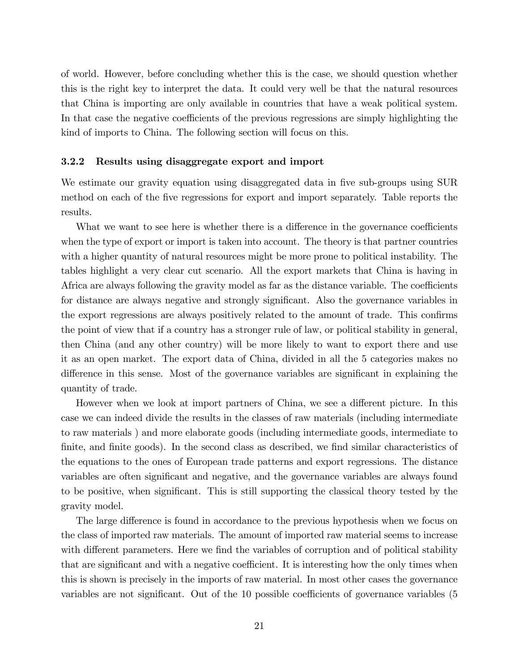of world. However, before concluding whether this is the case, we should question whether this is the right key to interpret the data. It could very well be that the natural resources that China is importing are only available in countries that have a weak political system. In that case the negative coefficients of the previous regressions are simply highlighting the kind of imports to China. The following section will focus on this.

#### 3.2.2 Results using disaggregate export and import

We estimate our gravity equation using disaggregated data in five sub-groups using SUR method on each of the Öve regressions for export and import separately. Table reports the results.

What we want to see here is whether there is a difference in the governance coefficients when the type of export or import is taken into account. The theory is that partner countries with a higher quantity of natural resources might be more prone to political instability. The tables highlight a very clear cut scenario. All the export markets that China is having in Africa are always following the gravity model as far as the distance variable. The coefficients for distance are always negative and strongly significant. Also the governance variables in the export regressions are always positively related to the amount of trade. This confirms the point of view that if a country has a stronger rule of law, or political stability in general, then China (and any other country) will be more likely to want to export there and use it as an open market. The export data of China, divided in all the 5 categories makes no difference in this sense. Most of the governance variables are significant in explaining the quantity of trade.

However when we look at import partners of China, we see a different picture. In this case we can indeed divide the results in the classes of raw materials (including intermediate to raw materials ) and more elaborate goods (including intermediate goods, intermediate to finite, and finite goods). In the second class as described, we find similar characteristics of the equations to the ones of European trade patterns and export regressions. The distance variables are often significant and negative, and the governance variables are always found to be positive, when significant. This is still supporting the classical theory tested by the gravity model.

The large difference is found in accordance to the previous hypothesis when we focus on the class of imported raw materials. The amount of imported raw material seems to increase with different parameters. Here we find the variables of corruption and of political stability that are significant and with a negative coefficient. It is interesting how the only times when this is shown is precisely in the imports of raw material. In most other cases the governance variables are not significant. Out of the  $10$  possible coefficients of governance variables (5)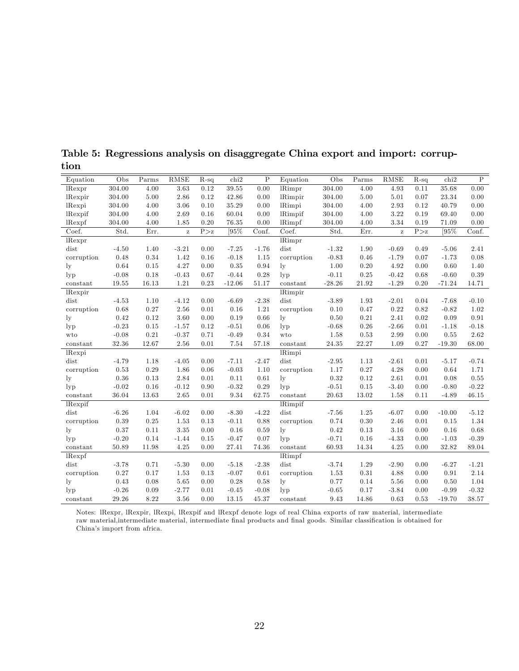| Equation        | Obs     | Parms    | <b>RMSE</b>       | $R-sq$             | chi2     | $\rm P$ | Equation                   | Obs      | Parms    | <b>RMSE</b> | $R-sq$ | chi2     | $\rm P$ |
|-----------------|---------|----------|-------------------|--------------------|----------|---------|----------------------------|----------|----------|-------------|--------|----------|---------|
| lRexpr          | 304.00  | 4.00     | $3.\overline{63}$ | 0.12               | 39.55    | 0.00    | <b>lRimpr</b>              | 304.00   | 4.00     | 4.93        | 0.11   | 35.68    | 0.00    |
| lRexpir         | 304.00  | 5.00     | 2.86              | 0.12               | 42.86    | 0.00    | <b>lRimpir</b>             | 304.00   | $5.00\,$ | 5.01        | 0.07   | 23.34    | 0.00    |
| lRexpi          | 304.00  | 4.00     | 3.06              | 0.10               | 35.29    | 0.00    | lRimpi                     | 304.00   | 4.00     | 2.93        | 0.12   | 40.79    | 0.00    |
| <i>l</i> Rexpif | 304.00  | 4.00     | 2.69              | 0.16               | 60.04    | 0.00    | lRimpif                    | 304.00   | 4.00     | 3.22        | 0.19   | 69.40    | 0.00    |
| $l$ Rexpf       | 304.00  | 4.00     | 1.85              | 0.20               | 76.35    | 0.00    | <b>lRimpf</b>              | 304.00   | 4.00     | 3.34        | 0.19   | 71.09    | 0.00    |
| Coef.           | Std.    | Err.     | $\rm{z}$          | $\overline{P} > z$ | [95%     | Conf.   | Coef.                      | Std.     | Err.     | $\bf{z}$    | P > z  | [95%     | Conf.   |
| lRexpr          |         |          |                   |                    |          |         | <b>IRimpr</b>              |          |          |             |        |          |         |
| dist            | $-4.50$ | 1.40     | $-3.21$           | 0.00               | $-7.25$  | $-1.76$ | dist                       | $-1.32$  | 1.90     | $-0.69$     | 0.49   | $-5.06$  | 2.41    |
| corruption      | 0.48    | 0.34     | 1.42              | 0.16               | $-0.18$  | 1.15    | corruption                 | $-0.83$  | 0.46     | $-1.79$     | 0.07   | $-1.73$  | 0.08    |
| $_{\rm ly}$     | 0.64    | 0.15     | 4.27              | 0.00               | 0.35     | 0.94    | $_{\rm ly}$                | 1.00     | 0.20     | 4.92        | 0.00   | 0.60     | 1.40    |
| $_{\rm lvp}$    | $-0.08$ | 0.18     | $-0.43$           | 0.67               | $-0.44$  | 0.28    | $_{\rm lyp}$               | $-0.11$  | 0.25     | $-0.42$     | 0.68   | $-0.60$  | 0.39    |
| constant        | 19.55   | 16.13    | 1.21              | 0.23               | $-12.06$ | 51.17   | constant                   | $-28.26$ | 21.92    | $-1.29$     | 0.20   | $-71.24$ | 14.71   |
| <i>Rexpir</i>   |         |          |                   |                    |          |         | <b>lRimpir</b>             |          |          |             |        |          |         |
| dist            | $-4.53$ | 1.10     | $-4.12$           | 0.00               | $-6.69$  | $-2.38$ | dist                       | $-3.89$  | 1.93     | $-2.01$     | 0.04   | $-7.68$  | $-0.10$ |
| corruption      | 0.68    | 0.27     | 2.56              | 0.01               | 0.16     | 1.21    | corruption                 | 0.10     | 0.47     | 0.22        | 0.82   | $-0.82$  | 1.02    |
| $_{\rm ly}$     | 0.42    | 0.12     | 3.60              | 0.00               | 0.19     | 0.66    | $_{\rm{lv}}$               | 0.50     | 0.21     | 2.41        | 0.02   | 0.09     | 0.91    |
| $_{\rm lyp}$    | $-0.23$ | 0.15     | $-1.57$           | 0.12               | $-0.51$  | 0.06    | $_{\rm lyp}$               | $-0.68$  | 0.26     | $-2.66$     | 0.01   | $-1.18$  | $-0.18$ |
| wto             | $-0.08$ | $0.21\,$ | $-0.37$           | 0.71               | $-0.49$  | 0.34    | wto                        | 1.58     | 0.53     | 2.99        | 0.00   | $0.55\,$ | 2.62    |
| constant        | 32.36   | 12.67    | 2.56              | 0.01               | 7.54     | 57.18   | constant                   | 24.35    | 22.27    | 1.09        | 0.27   | $-19.30$ | 68.00   |
| lRexpi          |         |          |                   |                    |          |         | lRimpi                     |          |          |             |        |          |         |
| dist            | $-4.79$ | 1.18     | $-4.05$           | 0.00               | $-7.11$  | $-2.47$ | dist                       | $-2.95$  | 1.13     | $-2.61$     | 0.01   | $-5.17$  | $-0.74$ |
| corruption      | 0.53    | 0.29     | 1.86              | 0.06               | $-0.03$  | 1.10    | corruption                 | 1.17     | 0.27     | 4.28        | 0.00   | 0.64     | 1.71    |
| $_{\rm ly}$     | 0.36    | 0.13     | 2.84              | 0.01               | 0.11     | 0.61    | $_{\rm ly}$                | 0.32     | 0.12     | 2.61        | 0.01   | 0.08     | 0.55    |
| $_{\rm lyp}$    | $-0.02$ | 0.16     | $-0.12$           | 0.90               | $-0.32$  | 0.29    | $_{\rm lyp}$               | $-0.51$  | 0.15     | $-3.40$     | 0.00   | $-0.80$  | $-0.22$ |
| constant        | 36.04   | 13.63    | 2.65              | 0.01               | 9.34     | 62.75   | constant                   | 20.63    | 13.02    | 1.58        | 0.11   | $-4.89$  | 46.15   |
| <i>l</i> Rexpif |         |          |                   |                    |          |         | $\overline{\text{Rimpif}}$ |          |          |             |        |          |         |
| dist            | $-6.26$ | 1.04     | $-6.02$           | 0.00               | $-8.30$  | $-4.22$ | dist                       | $-7.56$  | 1.25     | $-6.07$     | 0.00   | $-10.00$ | $-5.12$ |
| corruption      | 0.39    | 0.25     | 1.53              | 0.13               | $-0.11$  | 0.88    | corruption                 | 0.74     | 0.30     | 2.46        | 0.01   | 0.15     | 1.34    |
| $_{\rm ly}$     | 0.37    | 0.11     | $3.35\,$          | 0.00               | 0.16     | 0.59    | $_{\rm ly}$                | 0.42     | $0.13\,$ | 3.16        | 0.00   | 0.16     | 0.68    |
| $_{\rm lyp}$    | $-0.20$ | 0.14     | $-1.44$           | 0.15               | $-0.47$  | 0.07    | $_{\rm lyp}$               | $-0.71$  | 0.16     | $-4.33$     | 0.00   | $-1.03$  | $-0.39$ |
| constant        | 50.89   | 11.98    | 4.25              | 0.00               | 27.41    | 74.36   | constant                   | 60.93    | 14.34    | 4.25        | 0.00   | 32.82    | 89.04   |
| lRexpf          |         |          |                   |                    |          |         | lRimpf                     |          |          |             |        |          |         |
| dist            | $-3.78$ | 0.71     | $-5.30$           | 0.00               | $-5.18$  | $-2.38$ | dist                       | $-3.74$  | 1.29     | $-2.90$     | 0.00   | $-6.27$  | $-1.21$ |
| corruption      | 0.27    | 0.17     | 1.53              | 0.13               | $-0.07$  | 0.61    | corruption                 | 1.53     | 0.31     | 4.88        | 0.00   | 0.91     | 2.14    |
| $\lg$           | 0.43    | 0.08     | 5.65              | 0.00               | 0.28     | 0.58    | $_{\rm ly}$                | 0.77     | 0.14     | 5.56        | 0.00   | 0.50     | 1.04    |
| $_{\rm lyp}$    | $-0.26$ | 0.09     | $-2.77$           | 0.01               | $-0.45$  | $-0.08$ | $_{\rm lyp}$               | $-0.65$  | 0.17     | $-3.84$     | 0.00   | $-0.99$  | $-0.32$ |
| constant        | 29.26   | 8.22     | 3.56              | 0.00               | 13.15    | 45.37   | constant                   | 9.43     | 14.86    | 0.63        | 0.53   | $-19.70$ | 38.57   |

Table 5: Regressions analysis on disaggregate China export and import: corruption

Notes: lRexpr, lRexpir, lRexpi, lRexpif and lRexpf denote logs of real China exports of raw material, intermediate raw material,intermediate material, intermediate final products and final goods. Similar classification is obtained for Chinaís import from africa.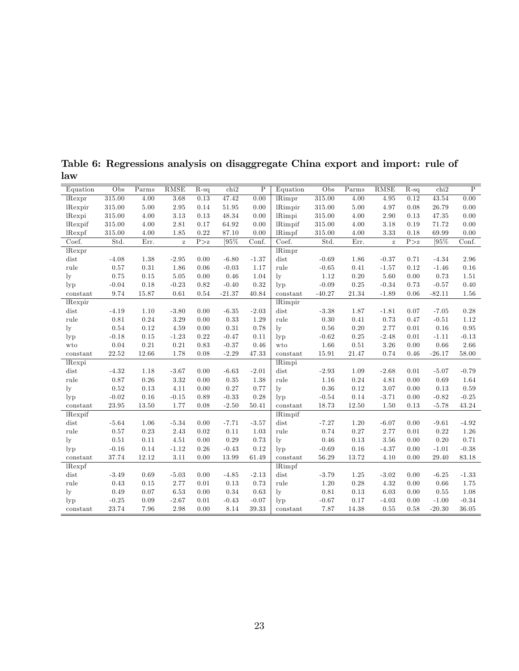| Equation        | Obs     | Parms | RMSE     | $R-sq$   | chi2     | $\mathbf P$ | Equation       | Obs      | Parms    | RMSE         | $R-sq$ | chi2     | $\, {\bf P}$ |
|-----------------|---------|-------|----------|----------|----------|-------------|----------------|----------|----------|--------------|--------|----------|--------------|
| lRexpr          | 315.00  | 4.00  | 3.68     | 0.13     | 47.42    | 0.00        | <b>IRimpr</b>  | 315.00   | 4.00     | 4.95         | 0.12   | 43.54    | 0.00         |
| <i>l</i> Rexpir | 315.00  | 5.00  | 2.95     | $0.14\,$ | 51.95    | 0.00        | <b>IRimpir</b> | 315.00   | 5.00     | 4.97         | 0.08   | 26.79    | 0.00         |
| lRexpi          | 315.00  | 4.00  | $3.13\,$ | 0.13     | 48.34    | 0.00        | lRimpi         | 315.00   | 4.00     | 2.90         | 0.13   | 47.35    | 0.00         |
| <i>l</i> Rexpif | 315.00  | 4.00  | 2.81     | 0.17     | 64.92    | 0.00        | <b>IRimpif</b> | 315.00   | 4.00     | 3.18         | 0.19   | 71.72    | 0.00         |
| lRexpf          | 315.00  | 4.00  | 1.85     | 0.22     | 87.10    | 0.00        | lRimpf         | 315.00   | 4.00     | 3.33         | 0.18   | 69.99    | 0.00         |
| Coef.           | Std.    | Err.  | $\bf{z}$ | P > z    | [95%     | Conf.       | Coef.          | Std.     | Err.     | $\mathbf{z}$ | P > z  | [95%     | Conf.        |
| lRexpr          |         |       |          |          |          |             | lRimpr         |          |          |              |        |          |              |
| dist            | $-4.08$ | 1.38  | $-2.95$  | 0.00     | $-6.80$  | $-1.37$     | dist           | $-0.69$  | 1.86     | $-0.37$      | 0.71   | $-4.34$  | 2.96         |
| rule            | 0.57    | 0.31  | 1.86     | 0.06     | $-0.03$  | 1.17        | rule           | $-0.65$  | 0.41     | $-1.57$      | 0.12   | $-1.46$  | 0.16         |
| $_{\rm ly}$     | 0.75    | 0.15  | $5.05\,$ | 0.00     | 0.46     | 1.04        | $\lg$          | 1.12     | 0.20     | 5.60         | 0.00   | 0.73     | 1.51         |
| $_{\rm lvp}$    | $-0.04$ | 0.18  | $-0.23$  | 0.82     | $-0.40$  | 0.32        | $_{\rm lvp}$   | $-0.09$  | $0.25\,$ | $-0.34$      | 0.73   | $-0.57$  | 0.40         |
| constant        | 9.74    | 15.87 | 0.61     | 0.54     | $-21.37$ | 40.84       | constant       | $-40.27$ | 21.34    | $-1.89$      | 0.06   | $-82.11$ | 1.56         |
| lRexpir         |         |       |          |          |          |             | <b>lRimpir</b> |          |          |              |        |          |              |
| dist            | $-4.19$ | 1.10  | $-3.80$  | 0.00     | $-6.35$  | $-2.03$     | dist           | $-3.38$  | 1.87     | $-1.81$      | 0.07   | $-7.05$  | 0.28         |
| rule            | 0.81    | 0.24  | 3.29     | 0.00     | 0.33     | 1.29        | rule           | 0.30     | 0.41     | 0.73         | 0.47   | $-0.51$  | 1.12         |
| $_{\rm ly}$     | 0.54    | 0.12  | 4.59     | 0.00     | 0.31     | 0.78        | $\rm_{ly}$     | 0.56     | 0.20     | 2.77         | 0.01   | 0.16     | 0.95         |
| $_{\rm lyp}$    | $-0.18$ | 0.15  | $-1.23$  | 0.22     | $-0.47$  | 0.11        | $_{\rm lyp}$   | $-0.62$  | 0.25     | $-2.48$      | 0.01   | $-1.11$  | $-0.13$      |
| wto             | 0.04    | 0.21  | 0.21     | 0.83     | $-0.37$  | 0.46        | wto            | 1.66     | 0.51     | 3.26         | 0.00   | 0.66     | 2.66         |
| constant        | 22.52   | 12.66 | 1.78     | 0.08     | $-2.29$  | 47.33       | constant       | 15.91    | 21.47    | 0.74         | 0.46   | $-26.17$ | $58.00\,$    |
| lRexpi          |         |       |          |          |          |             | lRimpi         |          |          |              |        |          |              |
| dist            | $-4.32$ | 1.18  | $-3.67$  | 0.00     | $-6.63$  | $-2.01$     | dist           | $-2.93$  | 1.09     | $-2.68$      | 0.01   | $-5.07$  | $-0.79$      |
| rule            | 0.87    | 0.26  | $3.32\,$ | 0.00     | 0.35     | 1.38        | rule           | 1.16     | 0.24     | 4.81         | 0.00   | 0.69     | 1.64         |
| $_{\rm ly}$     | 0.52    | 0.13  | 4.11     | 0.00     | 0.27     | 0.77        | $\rm_{ly}$     | $0.36\,$ | 0.12     | 3.07         | 0.00   | 0.13     | 0.59         |
| $_{\rm lyp}$    | $-0.02$ | 0.16  | $-0.15$  | 0.89     | $-0.33$  | 0.28        | $_{\rm lyp}$   | $-0.54$  | $0.14\,$ | $-3.71$      | 0.00   | $-0.82$  | $-0.25$      |
| constant        | 23.95   | 13.50 | 1.77     | 0.08     | $-2.50$  | 50.41       | constant       | 18.73    | 12.50    | 1.50         | 0.13   | $-5.78$  | 43.24        |
| <i>l</i> Rexpif |         |       |          |          |          |             | <b>lRimpif</b> |          |          |              |        |          |              |
| dist            | $-5.64$ | 1.06  | $-5.34$  | 0.00     | $-7.71$  | $-3.57$     | dist           | $-7.27$  | 1.20     | $-6.07$      | 0.00   | $-9.61$  | $-4.92$      |
| rule            | 0.57    | 0.23  | 2.43     | 0.02     | 0.11     | 1.03        | rule           | 0.74     | 0.27     | 2.77         | 0.01   | 0.22     | 1.26         |
| $_{\rm ly}$     | 0.51    | 0.11  | 4.51     | 0.00     | 0.29     | 0.73        | $\rm_{ly}$     | 0.46     | 0.13     | 3.56         | 0.00   | 0.20     | 0.71         |
| $_{\rm lvp}$    | $-0.16$ | 0.14  | $-1.12$  | 0.26     | $-0.43$  | 0.12        | $_{\rm lvp}$   | $-0.69$  | 0.16     | $-4.37$      | 0.00   | $-1.01$  | $-0.38$      |
| constant        | 37.74   | 12.12 | 3.11     | 0.00     | 13.99    | 61.49       | constant       | 56.29    | 13.72    | 4.10         | 0.00   | 29.40    | 83.18        |
| lRexpf          |         |       |          |          |          |             | <b>lRimpf</b>  |          |          |              |        |          |              |
| dist            | $-3.49$ | 0.69  | $-5.03$  | 0.00     | $-4.85$  | $-2.13$     | dist           | $-3.79$  | 1.25     | $-3.02$      | 0.00   | $-6.25$  | $-1.33$      |
| rule            | 0.43    | 0.15  | 2.77     | 0.01     | 0.13     | 0.73        | rule           | 1.20     | 0.28     | 4.32         | 0.00   | 0.66     | 1.75         |
| $_{\rm ly}$     | 0.49    | 0.07  | 6.53     | 0.00     | 0.34     | 0.63        | $\rm_{ly}$     | 0.81     | 0.13     | 6.03         | 0.00   | 0.55     | 1.08         |
| $_{\rm lvp}$    | $-0.25$ | 0.09  | $-2.67$  | 0.01     | $-0.43$  | $-0.07$     | $_{\rm lyp}$   | $-0.67$  | 0.17     | $-4.03$      | 0.00   | $-1.00$  | $-0.34$      |
| constant        | 23.74   | 7.96  | 2.98     | 0.00     | 8.14     | 39.33       | constant       | 7.87     | 14.38    | 0.55         | 0.58   | $-20.30$ | 36.05        |

Table 6: Regressions analysis on disaggregate China export and import: rule of law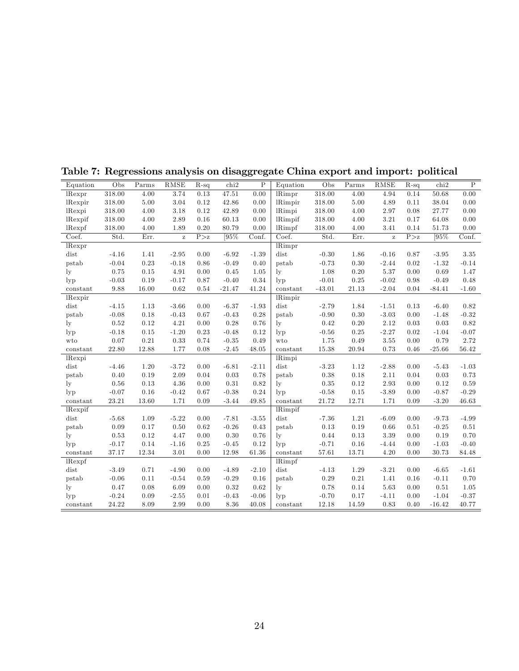| Equation        | Obs     | Parms | RMSE     | $R-sq$ | chi2     | $\mathbf P$ | Equation                  | Obs      | $\overline{\mathrm{Parms}}$ | RMSE         | $R-sq$ | chi2     | $\overline{P}$    |
|-----------------|---------|-------|----------|--------|----------|-------------|---------------------------|----------|-----------------------------|--------------|--------|----------|-------------------|
| lRexpr          | 318.00  | 4.00  | 3.74     | 0.13   | 47.51    | 0.00        | $\overline{\text{Rimpr}}$ | 318.00   | 4.00                        | 4.94         | 0.14   | 50.68    | $\overline{0.00}$ |
| lRexpir         | 318.00  | 5.00  | 3.04     | 0.12   | 42.86    | 0.00        | <b>IRimpir</b>            | 318.00   | 5.00                        | 4.89         | 0.11   | 38.04    | 0.00              |
| lRexpi          | 318.00  | 4.00  | 3.18     | 0.12   | 42.89    | 0.00        | lRimpi                    | 318.00   | 4.00                        | 2.97         | 0.08   | 27.77    | 0.00              |
| <i>l</i> Rexpif | 318.00  | 4.00  | 2.89     | 0.16   | 60.13    | 0.00        | <b>lRimpif</b>            | 318.00   | 4.00                        | 3.21         | 0.17   | 64.08    | 0.00              |
| lRexpf          | 318.00  | 4.00  | 1.89     | 0.20   | 80.79    | 0.00        | lRimpf                    | 318.00   | 4.00                        | 3.41         | 0.14   | 51.73    | 0.00              |
| Coef.           | Std.    | Err.  | $\bf{z}$ | P > z  | [95\%    | Conf.       | Coef.                     | Std.     | Err.                        | $\mathbf{z}$ | P > z  | 195%     | Conf.             |
| lRexpr          |         |       |          |        |          |             | lRimpr                    |          |                             |              |        |          |                   |
| dist            | $-4.16$ | 1.41  | $-2.95$  | 0.00   | $-6.92$  | $-1.39$     | dist                      | $-0.30$  | 1.86                        | $-0.16$      | 0.87   | $-3.95$  | 3.35              |
| pstab           | $-0.04$ | 0.23  | $-0.18$  | 0.86   | $-0.49$  | 0.40        | pstab                     | $-0.73$  | 0.30                        | $-2.44$      | 0.02   | $-1.32$  | $-0.14$           |
| $_{\rm ly}$     | 0.75    | 0.15  | 4.91     | 0.00   | 0.45     | 1.05        | $_{\rm{lv}}$              | 1.08     | 0.20                        | 5.37         | 0.00   | 0.69     | 1.47              |
| $_{\rm lyp}$    | $-0.03$ | 0.19  | $-0.17$  | 0.87   | $-0.40$  | 0.34        | $_{\rm lyp}$              | $-0.01$  | 0.25                        | $-0.02$      | 0.98   | $-0.49$  | 0.48              |
| constant        | 9.88    | 16.00 | 0.62     | 0.54   | $-21.47$ | 41.24       | constant                  | $-43.01$ | 21.13                       | $-2.04$      | 0.04   | $-84.41$ | $-1.60$           |
| lRexpir         |         |       |          |        |          |             | <b>IRimpir</b>            |          |                             |              |        |          |                   |
| dist            | $-4.15$ | 1.13  | $-3.66$  | 0.00   | $-6.37$  | $-1.93$     | dist                      | $-2.79$  | 1.84                        | $-1.51$      | 0.13   | $-6.40$  | 0.82              |
| pstab           | $-0.08$ | 0.18  | $-0.43$  | 0.67   | $-0.43$  | 0.28        | pstab                     | $-0.90$  | 0.30                        | $-3.03$      | 0.00   | $-1.48$  | $-0.32$           |
| $_{\rm ly}$     | 0.52    | 0.12  | 4.21     | 0.00   | 0.28     | 0.76        | $\rm_{lv}$                | 0.42     | 0.20                        | 2.12         | 0.03   | 0.03     | 0.82              |
| $_{\rm lyp}$    | $-0.18$ | 0.15  | $-1.20$  | 0.23   | $-0.48$  | 0.12        | $_{\rm lyp}$              | $-0.56$  | 0.25                        | $-2.27$      | 0.02   | $-1.04$  | $-0.07$           |
| wto             | 0.07    | 0.21  | 0.33     | 0.74   | $-0.35$  | 0.49        | wto                       | 1.75     | 0.49                        | 3.55         | 0.00   | 0.79     | 2.72              |
| constant        | 22.80   | 12.88 | 1.77     | 0.08   | $-2.45$  | 48.05       | constant                  | 15.38    | 20.94                       | 0.73         | 0.46   | $-25.66$ | 56.42             |
| lRexpi          |         |       |          |        |          |             | lRimpi                    |          |                             |              |        |          |                   |
| dist            | $-4.46$ | 1.20  | $-3.72$  | 0.00   | $-6.81$  | $-2.11$     | dist                      | $-3.23$  | 1.12                        | $-2.88$      | 0.00   | $-5.43$  | $-1.03$           |
| pstab           | 0.40    | 0.19  | 2.09     | 0.04   | 0.03     | 0.78        | pstab                     | 0.38     | 0.18                        | 2.11         | 0.04   | 0.03     | 0.73              |
| $_{\rm ly}$     | 0.56    | 0.13  | 4.36     | 0.00   | 0.31     | 0.82        | $\rm{lv}$                 | 0.35     | 0.12                        | 2.93         | 0.00   | 0.12     | 0.59              |
| $_{\rm lvp}$    | $-0.07$ | 0.16  | $-0.42$  | 0.67   | $-0.38$  | 0.24        | $_{\rm lyp}$              | $-0.58$  | 0.15                        | $-3.89$      | 0.00   | $-0.87$  | $-0.29$           |
| constant        | 23.21   | 13.60 | 1.71     | 0.09   | $-3.44$  | 49.85       | constant                  | 21.72    | 12.71                       | 1.71         | 0.09   | $-3.20$  | 46.63             |
| lRexpif         |         |       |          |        |          |             | <b>lRimpif</b>            |          |                             |              |        |          |                   |
| dist            | $-5.68$ | 1.09  | $-5.22$  | 0.00   | $-7.81$  | $-3.55$     | dist                      | $-7.36$  | 1.21                        | $-6.09$      | 0.00   | $-9.73$  | $-4.99$           |
| pstab           | 0.09    | 0.17  | 0.50     | 0.62   | $-0.26$  | 0.43        | pstab                     | 0.13     | 0.19                        | 0.66         | 0.51   | $-0.25$  | 0.51              |
| $_{\rm ly}$     | 0.53    | 0.12  | 4.47     | 0.00   | $0.30\,$ | 0.76        | $\rm_{ly}$                | 0.44     | 0.13                        | 3.39         | 0.00   | 0.19     | 0.70              |
| $_{\rm lvp}$    | $-0.17$ | 0.14  | $-1.16$  | 0.25   | $-0.45$  | 0.12        | $_{\rm lvp}$              | $-0.71$  | 0.16                        | $-4.44$      | 0.00   | $-1.03$  | $-0.40$           |
| constant        | 37.17   | 12.34 | 3.01     | 0.00   | 12.98    | 61.36       | constant                  | 57.61    | 13.71                       | 4.20         | 0.00   | 30.73    | 84.48             |
| lRexpf          |         |       |          |        |          |             | <b>IRimpf</b>             |          |                             |              |        |          |                   |
| dist            | $-3.49$ | 0.71  | $-4.90$  | 0.00   | $-4.89$  | $-2.10$     | dist                      | $-4.13$  | 1.29                        | $-3.21$      | 0.00   | $-6.65$  | $-1.61$           |
| pstab           | $-0.06$ | 0.11  | $-0.54$  | 0.59   | $-0.29$  | 0.16        | pstab                     | 0.29     | 0.21                        | 1.41         | 0.16   | $-0.11$  | 0.70              |
| $_{\rm ly}$     | 0.47    | 0.08  | 6.09     | 0.00   | 0.32     | 0.62        | $\rm_{lv}$                | 0.78     | 0.14                        | 5.63         | 0.00   | 0.51     | 1.05              |
| $_{\rm lyp}$    | $-0.24$ | 0.09  | $-2.55$  | 0.01   | $-0.43$  | $-0.06$     | $_{\rm lyp}$              | $-0.70$  | 0.17                        | $-4.11$      | 0.00   | $-1.04$  | $-0.37$           |
| constant        | 24.22   | 8.09  | 2.99     | 0.00   | 8.36     | 40.08       | constant                  | 12.18    | 14.59                       | 0.83         | 0.40   | $-16.42$ | 40.77             |

Table 7: Regressions analysis on disaggregate China export and import: political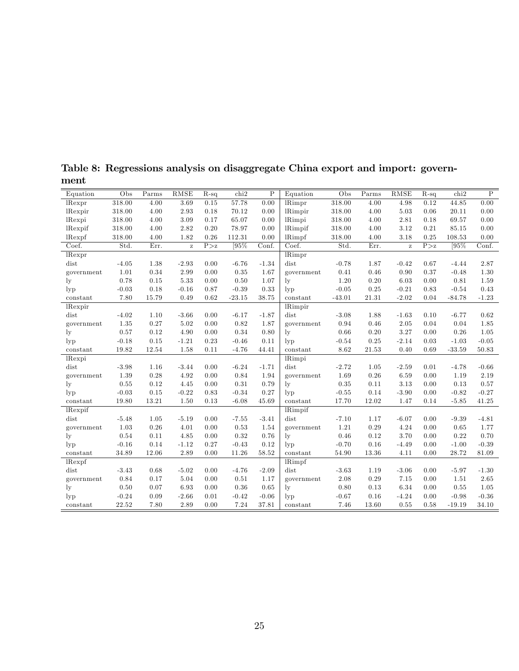| Equation        | Obs     | Parms | RMSE     | $R-sq$ | chi2     | $\overline{P}$ | Equation       | Obs      | Parms | RMSE     | $R-sq$ | chi2     | $\overline{P}$ |
|-----------------|---------|-------|----------|--------|----------|----------------|----------------|----------|-------|----------|--------|----------|----------------|
| lRexpr          | 318.00  | 4.00  | 3.69     | 0.15   | 57.78    | 0.00           | <b>lRimpr</b>  | 318.00   | 4.00  | 4.98     | 0.12   | 44.85    | 0.00           |
| lRexpir         | 318.00  | 4.00  | 2.93     | 0.18   | 70.12    | 0.00           | <b>lRimpir</b> | 318.00   | 4.00  | 5.03     | 0.06   | 20.11    | 0.00           |
| lRexpi          | 318.00  | 4.00  | 3.09     | 0.17   | 65.07    | 0.00           | lRimpi         | 318.00   | 4.00  | 2.81     | 0.18   | 69.57    | 0.00           |
| lRexpif         | 318.00  | 4.00  | 2.82     | 0.20   | 78.97    | 0.00           | <b>lRimpif</b> | 318.00   | 4.00  | 3.12     | 0.21   | 85.15    | 0.00           |
| lRexpf          | 318.00  | 4.00  | 1.82     | 0.26   | 112.31   | 0.00           | lRimpf         | 318.00   | 4.00  | 3.18     | 0.25   | 108.53   | 0.00           |
| Coef.           | Std.    | Err.  | $\rm{z}$ | P > z  | [95%     | Conf.          | Coef.          | Std.     | Err.  | $\rm{z}$ | P > z  | [95\%]   | Conf.          |
| $l$ Rexpr       |         |       |          |        |          |                | <b>IRimpr</b>  |          |       |          |        |          |                |
| dist            | $-4.05$ | 1.38  | $-2.93$  | 0.00   | $-6.76$  | $-1.34$        | dist           | $-0.78$  | 1.87  | $-0.42$  | 0.67   | $-4.44$  | 2.87           |
| government      | 1.01    | 0.34  | 2.99     | 0.00   | 0.35     | 1.67           | government     | 0.41     | 0.46  | 0.90     | 0.37   | $-0.48$  | 1.30           |
| ly              | 0.78    | 0.15  | 5.33     | 0.00   | 0.50     | 1.07           | $\rm_{lv}$     | 1.20     | 0.20  | 6.03     | 0.00   | 0.81     | 1.59           |
| $_{\rm lyp}$    | $-0.03$ | 0.18  | $-0.16$  | 0.87   | $-0.39$  | 0.33           | $_{\rm lvp}$   | $-0.05$  | 0.25  | $-0.21$  | 0.83   | $-0.54$  | 0.43           |
| constant        | 7.80    | 15.79 | 0.49     | 0.62   | $-23.15$ | 38.75          | constant       | $-43.01$ | 21.31 | $-2.02$  | 0.04   | $-84.78$ | $-1.23$        |
| lRexpir         |         |       |          |        |          |                | <b>lRimpir</b> |          |       |          |        |          |                |
| dist            | $-4.02$ | 1.10  | $-3.66$  | 0.00   | $-6.17$  | $-1.87$        | dist           | $-3.08$  | 1.88  | $-1.63$  | 0.10   | $-6.77$  | 0.62           |
| government      | 1.35    | 0.27  | 5.02     | 0.00   | 0.82     | 1.87           | government     | 0.94     | 0.46  | 2.05     | 0.04   | 0.04     | 1.85           |
| $_{\rm ly}$     | 0.57    | 0.12  | 4.90     | 0.00   | 0.34     | 0.80           | $\rm l v$      | 0.66     | 0.20  | 3.27     | 0.00   | 0.26     | 1.05           |
| $_{\rm lyp}$    | $-0.18$ | 0.15  | $-1.21$  | 0.23   | $-0.46$  | 0.11           | $_{\rm lvp}$   | $-0.54$  | 0.25  | $-2.14$  | 0.03   | $-1.03$  | $-0.05$        |
| constant        | 19.82   | 12.54 | 1.58     | 0.11   | $-4.76$  | 44.41          | constant       | 8.62     | 21.53 | 0.40     | 0.69   | $-33.59$ | 50.83          |
| lRexpi          |         |       |          |        |          |                | lRimpi         |          |       |          |        |          |                |
| dist            | $-3.98$ | 1.16  | $-3.44$  | 0.00   | $-6.24$  | $-1.71$        | dist           | $-2.72$  | 1.05  | $-2.59$  | 0.01   | $-4.78$  | $-0.66$        |
| government      | 1.39    | 0.28  | 4.92     | 0.00   | 0.84     | 1.94           | government     | 1.69     | 0.26  | 6.59     | 0.00   | 1.19     | 2.19           |
| $_{\rm ly}$     | 0.55    | 0.12  | 4.45     | 0.00   | 0.31     | 0.79           | $_{\rm ly}$    | 0.35     | 0.11  | 3.13     | 0.00   | 0.13     | 0.57           |
| $_{\rm lyp}$    | $-0.03$ | 0.15  | $-0.22$  | 0.83   | $-0.34$  | 0.27           | $_{\rm lvp}$   | $-0.55$  | 0.14  | $-3.90$  | 0.00   | $-0.82$  | $-0.27$        |
| constant        | 19.80   | 13.21 | 1.50     | 0.13   | $-6.08$  | 45.69          | constant       | 17.70    | 12.02 | 1.47     | 0.14   | $-5.85$  | 41.25          |
| <i>l</i> Rexpif |         |       |          |        |          |                | <b>lRimpif</b> |          |       |          |        |          |                |
| dist            | $-5.48$ | 1.05  | $-5.19$  | 0.00   | $-7.55$  | $-3.41$        | dist           | $-7.10$  | 1.17  | $-6.07$  | 0.00   | $-9.39$  | $-4.81$        |
| government      | 1.03    | 0.26  | 4.01     | 0.00   | 0.53     | 1.54           | government     | 1.21     | 0.29  | 4.24     | 0.00   | 0.65     | 1.77           |
| $_{\rm ly}$     | 0.54    | 0.11  | 4.85     | 0.00   | 0.32     | 0.76           | $_{\rm{lv}}$   | 0.46     | 0.12  | 3.70     | 0.00   | 0.22     | 0.70           |
| $_{\rm lyp}$    | $-0.16$ | 0.14  | $-1.12$  | 0.27   | $-0.43$  | 0.12           | $_{\rm lvp}$   | $-0.70$  | 0.16  | $-4.49$  | 0.00   | $-1.00$  | $-0.39$        |
| constant        | 34.89   | 12.06 | 2.89     | 0.00   | 11.26    | 58.52          | constant       | 54.90    | 13.36 | 4.11     | 0.00   | 28.72    | 81.09          |
| lRexpf          |         |       |          |        |          |                | lRimpf         |          |       |          |        |          |                |
| dist            | $-3.43$ | 0.68  | $-5.02$  | 0.00   | $-4.76$  | $-2.09$        | dist           | $-3.63$  | 1.19  | $-3.06$  | 0.00   | $-5.97$  | $-1.30$        |
| government      | 0.84    | 0.17  | 5.04     | 0.00   | 0.51     | 1.17           | government     | 2.08     | 0.29  | 7.15     | 0.00   | 1.51     | 2.65           |
| $_{\rm ly}$     | 0.50    | 0.07  | 6.93     | 0.00   | 0.36     | 0.65           | $_{\rm{lv}}$   | 0.80     | 0.13  | 6.34     | 0.00   | 0.55     | 1.05           |
| $_{\rm lyp}$    | $-0.24$ | 0.09  | $-2.66$  | 0.01   | $-0.42$  | $-0.06$        | $_{\rm lvp}$   | $-0.67$  | 0.16  | $-4.24$  | 0.00   | $-0.98$  | $-0.36$        |
| constant        | 22.52   | 7.80  | 2.89     | 0.00   | 7.24     | 37.81          | constant       | 7.46     | 13.60 | 0.55     | 0.58   | $-19.19$ | 34.10          |

Table 8: Regressions analysis on disaggregate China export and import: government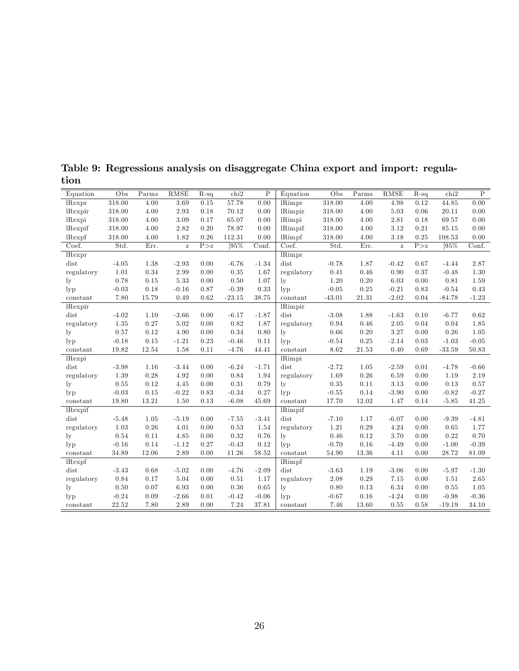| 318.00<br>4.00<br>3.69<br>57.78<br>0.00<br><b>IRimpr</b><br>318.00<br>4.00<br>4.98<br>0.12<br>44.85<br>0.00<br>$l$ Rexpr<br>0.15<br>318.00<br>4.00<br>2.93<br>0.18<br>70.12<br>0.00<br><b>lRimpir</b><br>318.00<br>4.00<br>5.03<br>0.06<br>20.11<br>0.00<br><i>l</i> Rexpir<br>318.00<br>4.00<br>3.09<br>0.17<br>65.07<br>0.00<br>lRimpi<br>318.00<br>4.00<br>2.81<br>0.18<br>69.57<br>0.00<br>lRexpi<br>2.82<br>318.00<br>4.00<br>0.20<br>78.97<br>0.00<br><b>lRimpif</b><br>318.00<br>4.00<br>3.12<br>0.21<br>85.15<br>0.00<br>lRexpif<br>318.00<br>4.00<br>1.82<br>0.26<br>112.31<br>0.00<br><b>lRimpf</b><br>318.00<br>4.00<br>3.18<br>0.25<br>108.53<br>0.00<br>lRexpf<br>[95%<br>Coef.<br>[95%<br>Std.<br>P > z<br>$\overline{\text{Conf.}}$<br>Std.<br>Coef.<br>Err.<br>Err.<br>P > z<br>Conf.<br>$\mathbf{z}$<br>$\mathbf{Z}$<br>$\overline{\text{Rimpr}}$<br>lRexpr<br>$-1.34$<br>dist<br>2.87<br>dist<br>$-4.05$<br>1.38<br>$-2.93$<br>0.00<br>$-6.76$<br>1.87<br>$-0.78$<br>$-0.42$<br>0.67<br>$-4.44$<br>1.01<br>0.34<br>2.99<br>0.35<br>1.67<br>0.46<br>0.90<br>1.30<br>0.00<br>regulatory<br>0.41<br>0.37<br>$-0.48$<br>regulatory<br>$5.33\,$<br>1.20<br>0.78<br>0.50<br>1.07<br>0.20<br>6.03<br>0.81<br>1.59<br>0.15<br>0.00<br>0.00<br>$_{\rm ly}$<br>$_{\rm ly}$<br>$0.33\,$<br>$-0.03$<br>0.18<br>$-0.16$<br>0.87<br>$-0.39$<br>$-0.05$<br>0.25<br>$-0.21$<br>$-0.54$<br>0.43<br>$_{\rm lyp}$<br>0.83<br>$_{\rm lyp}$<br>15.79<br>0.49<br>21.31<br>$-2.02$<br>$-84.78$<br>7.80<br>0.62<br>$-23.15$<br>38.75<br>$-43.01$<br>0.04<br>$-1.23$<br>constant<br>constant<br><b>lRimpir</b><br><i>Rexpir</i><br>$-1.87$<br>dist<br>dist<br>1.10<br>$-3.66$<br>$-6.17$<br>$-3.08$<br>1.88<br>$-1.63$<br>$-6.77$<br>0.62<br>$-4.02$<br>0.00<br>0.10<br>0.27<br>5.02<br>1.87<br>0.46<br>2.05<br>1.85<br>1.35<br>0.00<br>0.82<br>regulatory<br>0.94<br>0.04<br>0.04<br>regulatory<br>3.27<br>0.26<br>0.12<br>4.90<br>0.34<br>0.80<br>0.66<br>0.20<br>1.05<br>0.57<br>0.00<br>0.00<br>$\rm_{lv}$<br>$\rm_{lv}$<br>$-1.21$<br>0.23<br>0.11<br>0.25<br>$-2.14$<br>$-1.03$<br>$-0.05$<br>$-0.18$<br>0.15<br>$-0.46$<br>$-0.54$<br>0.03<br>$_{\rm lvp}$<br>$_{\rm lyp}$<br>1.58<br>21.53<br>0.40<br>$-33.59$<br>19.82<br>12.54<br>0.11<br>$-4.76$<br>44.41<br>8.62<br>0.69<br>50.83<br>constant<br>constant |
|----------------------------------------------------------------------------------------------------------------------------------------------------------------------------------------------------------------------------------------------------------------------------------------------------------------------------------------------------------------------------------------------------------------------------------------------------------------------------------------------------------------------------------------------------------------------------------------------------------------------------------------------------------------------------------------------------------------------------------------------------------------------------------------------------------------------------------------------------------------------------------------------------------------------------------------------------------------------------------------------------------------------------------------------------------------------------------------------------------------------------------------------------------------------------------------------------------------------------------------------------------------------------------------------------------------------------------------------------------------------------------------------------------------------------------------------------------------------------------------------------------------------------------------------------------------------------------------------------------------------------------------------------------------------------------------------------------------------------------------------------------------------------------------------------------------------------------------------------------------------------------------------------------------------------------------------------------------------------------------------------------------------------------------------------------------------------------------------------------------------------------------------------------------------------------------------------------------------------------------------------------------------------------------------------------------|
|                                                                                                                                                                                                                                                                                                                                                                                                                                                                                                                                                                                                                                                                                                                                                                                                                                                                                                                                                                                                                                                                                                                                                                                                                                                                                                                                                                                                                                                                                                                                                                                                                                                                                                                                                                                                                                                                                                                                                                                                                                                                                                                                                                                                                                                                                                                |
|                                                                                                                                                                                                                                                                                                                                                                                                                                                                                                                                                                                                                                                                                                                                                                                                                                                                                                                                                                                                                                                                                                                                                                                                                                                                                                                                                                                                                                                                                                                                                                                                                                                                                                                                                                                                                                                                                                                                                                                                                                                                                                                                                                                                                                                                                                                |
|                                                                                                                                                                                                                                                                                                                                                                                                                                                                                                                                                                                                                                                                                                                                                                                                                                                                                                                                                                                                                                                                                                                                                                                                                                                                                                                                                                                                                                                                                                                                                                                                                                                                                                                                                                                                                                                                                                                                                                                                                                                                                                                                                                                                                                                                                                                |
|                                                                                                                                                                                                                                                                                                                                                                                                                                                                                                                                                                                                                                                                                                                                                                                                                                                                                                                                                                                                                                                                                                                                                                                                                                                                                                                                                                                                                                                                                                                                                                                                                                                                                                                                                                                                                                                                                                                                                                                                                                                                                                                                                                                                                                                                                                                |
|                                                                                                                                                                                                                                                                                                                                                                                                                                                                                                                                                                                                                                                                                                                                                                                                                                                                                                                                                                                                                                                                                                                                                                                                                                                                                                                                                                                                                                                                                                                                                                                                                                                                                                                                                                                                                                                                                                                                                                                                                                                                                                                                                                                                                                                                                                                |
|                                                                                                                                                                                                                                                                                                                                                                                                                                                                                                                                                                                                                                                                                                                                                                                                                                                                                                                                                                                                                                                                                                                                                                                                                                                                                                                                                                                                                                                                                                                                                                                                                                                                                                                                                                                                                                                                                                                                                                                                                                                                                                                                                                                                                                                                                                                |
|                                                                                                                                                                                                                                                                                                                                                                                                                                                                                                                                                                                                                                                                                                                                                                                                                                                                                                                                                                                                                                                                                                                                                                                                                                                                                                                                                                                                                                                                                                                                                                                                                                                                                                                                                                                                                                                                                                                                                                                                                                                                                                                                                                                                                                                                                                                |
|                                                                                                                                                                                                                                                                                                                                                                                                                                                                                                                                                                                                                                                                                                                                                                                                                                                                                                                                                                                                                                                                                                                                                                                                                                                                                                                                                                                                                                                                                                                                                                                                                                                                                                                                                                                                                                                                                                                                                                                                                                                                                                                                                                                                                                                                                                                |
|                                                                                                                                                                                                                                                                                                                                                                                                                                                                                                                                                                                                                                                                                                                                                                                                                                                                                                                                                                                                                                                                                                                                                                                                                                                                                                                                                                                                                                                                                                                                                                                                                                                                                                                                                                                                                                                                                                                                                                                                                                                                                                                                                                                                                                                                                                                |
|                                                                                                                                                                                                                                                                                                                                                                                                                                                                                                                                                                                                                                                                                                                                                                                                                                                                                                                                                                                                                                                                                                                                                                                                                                                                                                                                                                                                                                                                                                                                                                                                                                                                                                                                                                                                                                                                                                                                                                                                                                                                                                                                                                                                                                                                                                                |
|                                                                                                                                                                                                                                                                                                                                                                                                                                                                                                                                                                                                                                                                                                                                                                                                                                                                                                                                                                                                                                                                                                                                                                                                                                                                                                                                                                                                                                                                                                                                                                                                                                                                                                                                                                                                                                                                                                                                                                                                                                                                                                                                                                                                                                                                                                                |
|                                                                                                                                                                                                                                                                                                                                                                                                                                                                                                                                                                                                                                                                                                                                                                                                                                                                                                                                                                                                                                                                                                                                                                                                                                                                                                                                                                                                                                                                                                                                                                                                                                                                                                                                                                                                                                                                                                                                                                                                                                                                                                                                                                                                                                                                                                                |
|                                                                                                                                                                                                                                                                                                                                                                                                                                                                                                                                                                                                                                                                                                                                                                                                                                                                                                                                                                                                                                                                                                                                                                                                                                                                                                                                                                                                                                                                                                                                                                                                                                                                                                                                                                                                                                                                                                                                                                                                                                                                                                                                                                                                                                                                                                                |
|                                                                                                                                                                                                                                                                                                                                                                                                                                                                                                                                                                                                                                                                                                                                                                                                                                                                                                                                                                                                                                                                                                                                                                                                                                                                                                                                                                                                                                                                                                                                                                                                                                                                                                                                                                                                                                                                                                                                                                                                                                                                                                                                                                                                                                                                                                                |
|                                                                                                                                                                                                                                                                                                                                                                                                                                                                                                                                                                                                                                                                                                                                                                                                                                                                                                                                                                                                                                                                                                                                                                                                                                                                                                                                                                                                                                                                                                                                                                                                                                                                                                                                                                                                                                                                                                                                                                                                                                                                                                                                                                                                                                                                                                                |
|                                                                                                                                                                                                                                                                                                                                                                                                                                                                                                                                                                                                                                                                                                                                                                                                                                                                                                                                                                                                                                                                                                                                                                                                                                                                                                                                                                                                                                                                                                                                                                                                                                                                                                                                                                                                                                                                                                                                                                                                                                                                                                                                                                                                                                                                                                                |
|                                                                                                                                                                                                                                                                                                                                                                                                                                                                                                                                                                                                                                                                                                                                                                                                                                                                                                                                                                                                                                                                                                                                                                                                                                                                                                                                                                                                                                                                                                                                                                                                                                                                                                                                                                                                                                                                                                                                                                                                                                                                                                                                                                                                                                                                                                                |
|                                                                                                                                                                                                                                                                                                                                                                                                                                                                                                                                                                                                                                                                                                                                                                                                                                                                                                                                                                                                                                                                                                                                                                                                                                                                                                                                                                                                                                                                                                                                                                                                                                                                                                                                                                                                                                                                                                                                                                                                                                                                                                                                                                                                                                                                                                                |
| lRimpi<br>lRexpi                                                                                                                                                                                                                                                                                                                                                                                                                                                                                                                                                                                                                                                                                                                                                                                                                                                                                                                                                                                                                                                                                                                                                                                                                                                                                                                                                                                                                                                                                                                                                                                                                                                                                                                                                                                                                                                                                                                                                                                                                                                                                                                                                                                                                                                                                               |
| dist<br>$-3.98$<br>$-3.44$<br>$-6.24$<br>$-1.71$<br>$-0.66$<br>dist<br>1.16<br>0.00<br>$-2.72$<br>1.05<br>$-2.59$<br>0.01<br>$-4.78$                                                                                                                                                                                                                                                                                                                                                                                                                                                                                                                                                                                                                                                                                                                                                                                                                                                                                                                                                                                                                                                                                                                                                                                                                                                                                                                                                                                                                                                                                                                                                                                                                                                                                                                                                                                                                                                                                                                                                                                                                                                                                                                                                                           |
| 4.92<br>1.94<br>0.26<br>6.59<br>1.19<br>1.39<br>0.28<br>0.00<br>0.84<br>1.69<br>0.00<br>2.19<br>regulatory<br>regulatory                                                                                                                                                                                                                                                                                                                                                                                                                                                                                                                                                                                                                                                                                                                                                                                                                                                                                                                                                                                                                                                                                                                                                                                                                                                                                                                                                                                                                                                                                                                                                                                                                                                                                                                                                                                                                                                                                                                                                                                                                                                                                                                                                                                       |
| 0.12<br>4.45<br>0.31<br>0.79<br>0.35<br>3.13<br>0.13<br>0.57<br>0.55<br>0.00<br>0.11<br>0.00<br>$\rm_{lv}$<br>$\rm_{lv}$                                                                                                                                                                                                                                                                                                                                                                                                                                                                                                                                                                                                                                                                                                                                                                                                                                                                                                                                                                                                                                                                                                                                                                                                                                                                                                                                                                                                                                                                                                                                                                                                                                                                                                                                                                                                                                                                                                                                                                                                                                                                                                                                                                                       |
| $-0.22$<br>$-0.34$<br>0.27<br>$-3.90$<br>$-0.82$<br>$-0.27$<br>$-0.03$<br>0.15<br>0.83<br>$-0.55$<br>0.14<br>0.00<br>$_{\rm lvp}$<br>$_{\rm lyp}$                                                                                                                                                                                                                                                                                                                                                                                                                                                                                                                                                                                                                                                                                                                                                                                                                                                                                                                                                                                                                                                                                                                                                                                                                                                                                                                                                                                                                                                                                                                                                                                                                                                                                                                                                                                                                                                                                                                                                                                                                                                                                                                                                              |
| 1.50<br>1.47<br>$-5.85$<br>19.80<br>13.21<br>0.13<br>$-6.08$<br>45.69<br>17.70<br>12.02<br>0.14<br>41.25<br>constant<br>constant                                                                                                                                                                                                                                                                                                                                                                                                                                                                                                                                                                                                                                                                                                                                                                                                                                                                                                                                                                                                                                                                                                                                                                                                                                                                                                                                                                                                                                                                                                                                                                                                                                                                                                                                                                                                                                                                                                                                                                                                                                                                                                                                                                               |
| <b>lRimpif</b><br><i>Rexpif</i>                                                                                                                                                                                                                                                                                                                                                                                                                                                                                                                                                                                                                                                                                                                                                                                                                                                                                                                                                                                                                                                                                                                                                                                                                                                                                                                                                                                                                                                                                                                                                                                                                                                                                                                                                                                                                                                                                                                                                                                                                                                                                                                                                                                                                                                                                |
| dist<br>$-5.19$<br>$-3.41$<br>dist<br>$-5.48$<br>1.05<br>0.00<br>$-7.55$<br>$-7.10$<br>1.17<br>$-6.07$<br>0.00<br>$-9.39$<br>$-4.81$                                                                                                                                                                                                                                                                                                                                                                                                                                                                                                                                                                                                                                                                                                                                                                                                                                                                                                                                                                                                                                                                                                                                                                                                                                                                                                                                                                                                                                                                                                                                                                                                                                                                                                                                                                                                                                                                                                                                                                                                                                                                                                                                                                           |
| 4.01<br>1.54<br>4.24<br>1.03<br>0.26<br>0.00<br>0.53<br>1.21<br>0.29<br>0.00<br>0.65<br>1.77<br>regulatory<br>regulatory                                                                                                                                                                                                                                                                                                                                                                                                                                                                                                                                                                                                                                                                                                                                                                                                                                                                                                                                                                                                                                                                                                                                                                                                                                                                                                                                                                                                                                                                                                                                                                                                                                                                                                                                                                                                                                                                                                                                                                                                                                                                                                                                                                                       |
| 4.85<br>0.32<br>0.76<br>0.12<br>3.70<br>0.22<br>0.70<br>0.54<br>0.11<br>0.00<br>0.46<br>$\rm_{lv}$<br>$\rm_{lv}$<br>0.00                                                                                                                                                                                                                                                                                                                                                                                                                                                                                                                                                                                                                                                                                                                                                                                                                                                                                                                                                                                                                                                                                                                                                                                                                                                                                                                                                                                                                                                                                                                                                                                                                                                                                                                                                                                                                                                                                                                                                                                                                                                                                                                                                                                       |
| 0.12<br>0.16<br>$-1.00$<br>$-0.39$<br>$-0.16$<br>0.14<br>$-1.12$<br>0.27<br>$-0.43$<br>$-0.70$<br>$-4.49$<br>$_{\rm lvp}$<br>$_{\rm lyp}$<br>0.00                                                                                                                                                                                                                                                                                                                                                                                                                                                                                                                                                                                                                                                                                                                                                                                                                                                                                                                                                                                                                                                                                                                                                                                                                                                                                                                                                                                                                                                                                                                                                                                                                                                                                                                                                                                                                                                                                                                                                                                                                                                                                                                                                              |
| 2.89<br>$58.52\,$<br>13.36<br>34.89<br>12.06<br>0.00<br>11.26<br>54.90<br>4.11<br>0.00<br>28.72<br>81.09<br>constant<br>constant                                                                                                                                                                                                                                                                                                                                                                                                                                                                                                                                                                                                                                                                                                                                                                                                                                                                                                                                                                                                                                                                                                                                                                                                                                                                                                                                                                                                                                                                                                                                                                                                                                                                                                                                                                                                                                                                                                                                                                                                                                                                                                                                                                               |
| lRimpf<br>$l$ Rexpf                                                                                                                                                                                                                                                                                                                                                                                                                                                                                                                                                                                                                                                                                                                                                                                                                                                                                                                                                                                                                                                                                                                                                                                                                                                                                                                                                                                                                                                                                                                                                                                                                                                                                                                                                                                                                                                                                                                                                                                                                                                                                                                                                                                                                                                                                            |
| $-5.02$<br>$-2.09$<br>dist<br>dist<br>$-3.43$<br>0.68<br>0.00<br>$-4.76$<br>$-3.63$<br>1.19<br>$-3.06$<br>0.00<br>$-5.97$<br>$-1.30$                                                                                                                                                                                                                                                                                                                                                                                                                                                                                                                                                                                                                                                                                                                                                                                                                                                                                                                                                                                                                                                                                                                                                                                                                                                                                                                                                                                                                                                                                                                                                                                                                                                                                                                                                                                                                                                                                                                                                                                                                                                                                                                                                                           |
| 5.04<br>0.84<br>1.17<br>2.08<br>0.29<br>7.15<br>1.51<br>2.65<br>0.17<br>0.00<br>0.51<br>regulatory<br>0.00<br>regulatory                                                                                                                                                                                                                                                                                                                                                                                                                                                                                                                                                                                                                                                                                                                                                                                                                                                                                                                                                                                                                                                                                                                                                                                                                                                                                                                                                                                                                                                                                                                                                                                                                                                                                                                                                                                                                                                                                                                                                                                                                                                                                                                                                                                       |
| 6.93<br>0.65<br>6.34<br>1.05<br>0.50<br>0.07<br>0.00<br>0.36<br>0.80<br>0.13<br>0.55<br>1y<br>$_{\rm{lv}}$<br>0.00                                                                                                                                                                                                                                                                                                                                                                                                                                                                                                                                                                                                                                                                                                                                                                                                                                                                                                                                                                                                                                                                                                                                                                                                                                                                                                                                                                                                                                                                                                                                                                                                                                                                                                                                                                                                                                                                                                                                                                                                                                                                                                                                                                                             |
| $-2.66$<br>$-4.24$<br>$-0.36$<br>$-0.24$<br>0.09<br>0.01<br>$-0.42$<br>$-0.06$<br>$-0.67$<br>0.16<br>$-0.98$<br>$_{\rm lyp}$<br>$_{\rm lyp}$<br>0.00                                                                                                                                                                                                                                                                                                                                                                                                                                                                                                                                                                                                                                                                                                                                                                                                                                                                                                                                                                                                                                                                                                                                                                                                                                                                                                                                                                                                                                                                                                                                                                                                                                                                                                                                                                                                                                                                                                                                                                                                                                                                                                                                                           |
| 2.89<br>7.24<br>22.52<br>7.80<br>0.00<br>37.81<br>7.46<br>13.60<br>0.55<br>$-19.19$<br>34.10<br>0.58<br>constant<br>constant                                                                                                                                                                                                                                                                                                                                                                                                                                                                                                                                                                                                                                                                                                                                                                                                                                                                                                                                                                                                                                                                                                                                                                                                                                                                                                                                                                                                                                                                                                                                                                                                                                                                                                                                                                                                                                                                                                                                                                                                                                                                                                                                                                                   |

Table 9: Regressions analysis on disaggregate China export and import: regulation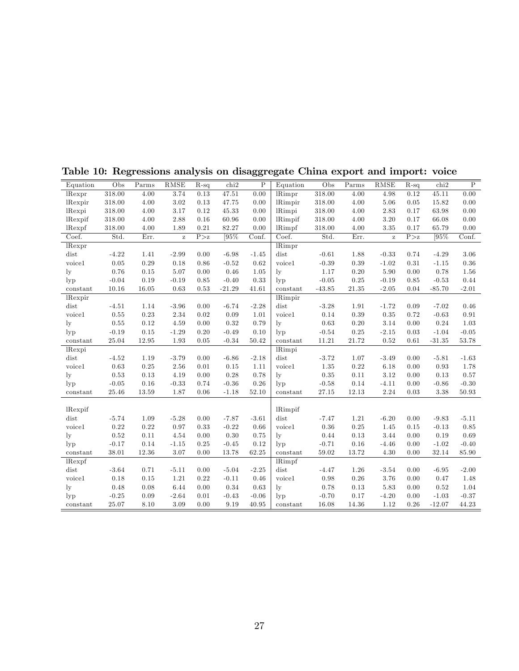| Equation        | Obs     | Parms | RMSE     | $R-sq$ | chi2     | $\mathbf P$ | Equation                  | Obs      | Parms    | RMSE         | $R-sq$ | chi2     | $\overline{P}$ |
|-----------------|---------|-------|----------|--------|----------|-------------|---------------------------|----------|----------|--------------|--------|----------|----------------|
| lRexpr          | 318.00  | 4.00  | 3.74     | 0.13   | 47.51    | 0.00        | $\overline{\text{Rimpr}}$ | 318.00   | 4.00     | 4.98         | 0.12   | 45.11    | 0.00           |
| lRexpir         | 318.00  | 4.00  | 3.02     | 0.13   | 47.75    | 0.00        | <b>IRimpir</b>            | 318.00   | 4.00     | 5.06         | 0.05   | 15.82    | 0.00           |
| lRexpi          | 318.00  | 4.00  | 3.17     | 0.12   | 45.33    | 0.00        | lRimpi                    | 318.00   | 4.00     | 2.83         | 0.17   | 63.98    | 0.00           |
| <i>l</i> Rexpif | 318.00  | 4.00  | 2.88     | 0.16   | 60.96    | 0.00        | <b>lRimpif</b>            | 318.00   | 4.00     | 3.20         | 0.17   | 66.08    | 0.00           |
| lRexpf          | 318.00  | 4.00  | 1.89     | 0.21   | 82.27    | 0.00        | lRimpf                    | 318.00   | 4.00     | 3.35         | 0.17   | 65.79    | 0.00           |
| Coef.           | Std.    | Err.  | $\bf{z}$ | P > z  | 195%     | Conf.       | Coef.                     | Std.     | Err.     | $\mathbf{z}$ | P > z  | [95%     | Conf.          |
| lRexpr          |         |       |          |        |          |             | lRimpr                    |          |          |              |        |          |                |
| dist            | $-4.22$ | 1.41  | $-2.99$  | 0.00   | $-6.98$  | $-1.45$     | dist                      | $-0.61$  | 1.88     | $-0.33$      | 0.74   | $-4.29$  | 3.06           |
| voice1          | 0.05    | 0.29  | 0.18     | 0.86   | $-0.52$  | 0.62        | voice1                    | $-0.39$  | 0.39     | $-1.02$      | 0.31   | $-1.15$  | 0.36           |
| $_{\rm ly}$     | 0.76    | 0.15  | 5.07     | 0.00   | 0.46     | 1.05        | $_{\rm{lv}}$              | 1.17     | 0.20     | 5.90         | 0.00   | 0.78     | 1.56           |
| $_{\rm lyp}$    | $-0.04$ | 0.19  | $-0.19$  | 0.85   | $-0.40$  | 0.33        | $_{\rm lyp}$              | $-0.05$  | 0.25     | $-0.19$      | 0.85   | $-0.53$  | 0.44           |
| constant        | 10.16   | 16.05 | 0.63     | 0.53   | $-21.29$ | 41.61       | constant                  | $-43.85$ | 21.35    | $-2.05$      | 0.04   | $-85.70$ | $-2.01$        |
| lRexpir         |         |       |          |        |          |             | <b>IRimpir</b>            |          |          |              |        |          |                |
| dist            | $-4.51$ | 1.14  | $-3.96$  | 0.00   | $-6.74$  | $-2.28$     | dist                      | $-3.28$  | 1.91     | $-1.72$      | 0.09   | $-7.02$  | 0.46           |
| voice1          | 0.55    | 0.23  | 2.34     | 0.02   | 0.09     | 1.01        | voice1                    | 0.14     | 0.39     | 0.35         | 0.72   | $-0.63$  | 0.91           |
| $_{\rm ly}$     | 0.55    | 0.12  | 4.59     | 0.00   | 0.32     | 0.79        | $_{\rm{lv}}$              | 0.63     | 0.20     | 3.14         | 0.00   | 0.24     | 1.03           |
| $_{\rm lvp}$    | $-0.19$ | 0.15  | $-1.29$  | 0.20   | $-0.49$  | 0.10        | $_{\rm lyp}$              | $-0.54$  | 0.25     | $-2.15$      | 0.03   | $-1.04$  | $-0.05$        |
| constant        | 25.04   | 12.95 | 1.93     | 0.05   | $-0.34$  | 50.42       | constant                  | 11.21    | 21.72    | 0.52         | 0.61   | $-31.35$ | 53.78          |
| lRexpi          |         |       |          |        |          |             | lRimpi                    |          |          |              |        |          |                |
| dist            | $-4.52$ | 1.19  | $-3.79$  | 0.00   | $-6.86$  | $-2.18$     | dist                      | $-3.72$  | 1.07     | $-3.49$      | 0.00   | $-5.81$  | $-1.63$        |
| voice1          | 0.63    | 0.25  | 2.56     | 0.01   | 0.15     | 1.11        | voice1                    | 1.35     | 0.22     | 6.18         | 0.00   | 0.93     | 1.78           |
| $_{\rm ly}$     | 0.53    | 0.13  | 4.19     | 0.00   | 0.28     | 0.78        | $\rm{lv}$                 | 0.35     | 0.11     | 3.12         | 0.00   | 0.13     | 0.57           |
| $_{\rm lvp}$    | $-0.05$ | 0.16  | $-0.33$  | 0.74   | $-0.36$  | 0.26        | $_{\rm lyp}$              | $-0.58$  | 0.14     | $-4.11$      | 0.00   | $-0.86$  | $-0.30$        |
| constant        | 25.46   | 13.59 | 1.87     | 0.06   | $-1.18$  | 52.10       | constant                  | 27.15    | 12.13    | 2.24         | 0.03   | 3.38     | 50.93          |
|                 |         |       |          |        |          |             |                           |          |          |              |        |          |                |
| lRexpif         |         |       |          |        |          |             | <b>lRimpif</b>            |          |          |              |        |          |                |
| dist            | $-5.74$ | 1.09  | $-5.28$  | 0.00   | $-7.87$  | $-3.61$     | dist                      | $-7.47$  | 1.21     | $-6.20$      | 0.00   | $-9.83$  | $-5.11$        |
| voice1          | 0.22    | 0.22  | 0.97     | 0.33   | $-0.22$  | 0.66        | voice1                    | 0.36     | 0.25     | 1.45         | 0.15   | $-0.13$  | 0.85           |
| $_{\rm ly}$     | 0.52    | 0.11  | 4.54     | 0.00   | $0.30\,$ | 0.75        | $\rm_{ly}$                | 0.44     | $0.13\,$ | 3.44         | 0.00   | 0.19     | 0.69           |
| $_{\rm lvp}$    | $-0.17$ | 0.14  | $-1.15$  | 0.25   | $-0.45$  | 0.12        | $_{\rm lvp}$              | $-0.71$  | 0.16     | $-4.46$      | 0.00   | $-1.02$  | $-0.40$        |
| constant        | 38.01   | 12.36 | 3.07     | 0.00   | 13.78    | 62.25       | constant                  | 59.02    | 13.72    | 4.30         | 0.00   | 32.14    | 85.90          |
| lRexpf          |         |       |          |        |          |             | <b>IRimpf</b>             |          |          |              |        |          |                |
| dist            | $-3.64$ | 0.71  | $-5.11$  | 0.00   | $-5.04$  | $-2.25$     | dist                      | $-4.47$  | 1.26     | $-3.54$      | 0.00   | $-6.95$  | $-2.00$        |
| voice1          | 0.18    | 0.15  | 1.21     | 0.22   | $-0.11$  | 0.46        | voice1                    | 0.98     | 0.26     | 3.76         | 0.00   | 0.47     | 1.48           |
| ly              | 0.48    | 0.08  | 6.44     | 0.00   | 0.34     | 0.63        | $\rm_{ly}$                | 0.78     | 0.13     | 5.83         | 0.00   | 0.52     | 1.04           |
| $_{\rm lyp}$    | $-0.25$ | 0.09  | $-2.64$  | 0.01   | $-0.43$  | $-0.06$     | $_{\rm lyp}$              | $-0.70$  | 0.17     | $-4.20$      | 0.00   | $-1.03$  | $-0.37$        |
| constant        | 25.07   | 8.10  | 3.09     | 0.00   | 9.19     | 40.95       | constant                  | 16.08    | 14.36    | 1.12         | 0.26   | $-12.07$ | 44.23          |

Table 10: Regressions analysis on disaggregate China export and import: voice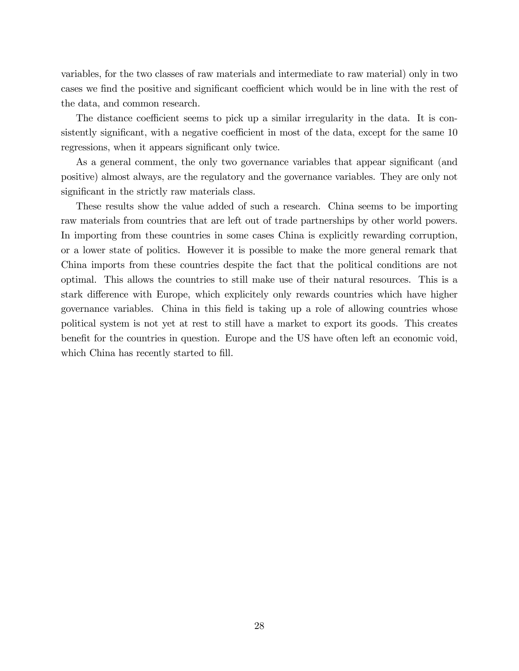variables, for the two classes of raw materials and intermediate to raw material) only in two cases we find the positive and significant coefficient which would be in line with the rest of the data, and common research.

The distance coefficient seems to pick up a similar irregularity in the data. It is consistently significant, with a negative coefficient in most of the data, except for the same 10 regressions, when it appears significant only twice.

As a general comment, the only two governance variables that appear significant (and positive) almost always, are the regulatory and the governance variables. They are only not significant in the strictly raw materials class.

These results show the value added of such a research. China seems to be importing raw materials from countries that are left out of trade partnerships by other world powers. In importing from these countries in some cases China is explicitly rewarding corruption, or a lower state of politics. However it is possible to make the more general remark that China imports from these countries despite the fact that the political conditions are not optimal. This allows the countries to still make use of their natural resources. This is a stark difference with Europe, which explicitely only rewards countries which have higher governance variables. China in this Öeld is taking up a role of allowing countries whose political system is not yet at rest to still have a market to export its goods. This creates benefit for the countries in question. Europe and the US have often left an economic void, which China has recently started to fill.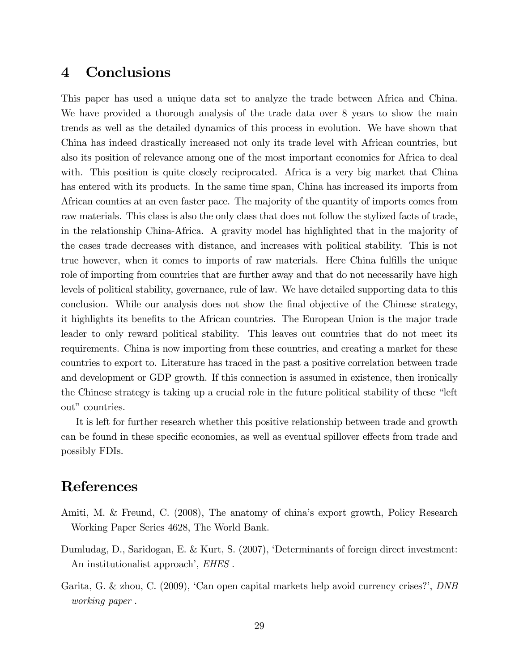## 4 Conclusions

This paper has used a unique data set to analyze the trade between Africa and China. We have provided a thorough analysis of the trade data over 8 years to show the main trends as well as the detailed dynamics of this process in evolution. We have shown that China has indeed drastically increased not only its trade level with African countries, but also its position of relevance among one of the most important economics for Africa to deal with. This position is quite closely reciprocated. Africa is a very big market that China has entered with its products. In the same time span, China has increased its imports from African counties at an even faster pace. The majority of the quantity of imports comes from raw materials. This class is also the only class that does not follow the stylized facts of trade, in the relationship China-Africa. A gravity model has highlighted that in the majority of the cases trade decreases with distance, and increases with political stability. This is not true however, when it comes to imports of raw materials. Here China fulfills the unique role of importing from countries that are further away and that do not necessarily have high levels of political stability, governance, rule of law. We have detailed supporting data to this conclusion. While our analysis does not show the final objective of the Chinese strategy, it highlights its benefits to the African countries. The European Union is the major trade leader to only reward political stability. This leaves out countries that do not meet its requirements. China is now importing from these countries, and creating a market for these countries to export to. Literature has traced in the past a positive correlation between trade and development or GDP growth. If this connection is assumed in existence, then ironically the Chinese strategy is taking up a crucial role in the future political stability of these "left" out" countries.

It is left for further research whether this positive relationship between trade and growth can be found in these specific economies, as well as eventual spillover effects from trade and possibly FDIs.

## References

- Amiti, M. & Freund, C. (2008), The anatomy of china's export growth, Policy Research Working Paper Series 4628, The World Bank.
- Dumludag, D., Saridogan, E. & Kurt, S. (2007), ëDeterminants of foreign direct investment: An institutionalist approach', *EHES*.
- Garita, G. & zhou, C.  $(2009)$ , 'Can open capital markets help avoid currency crises?', *DNB* working paper .